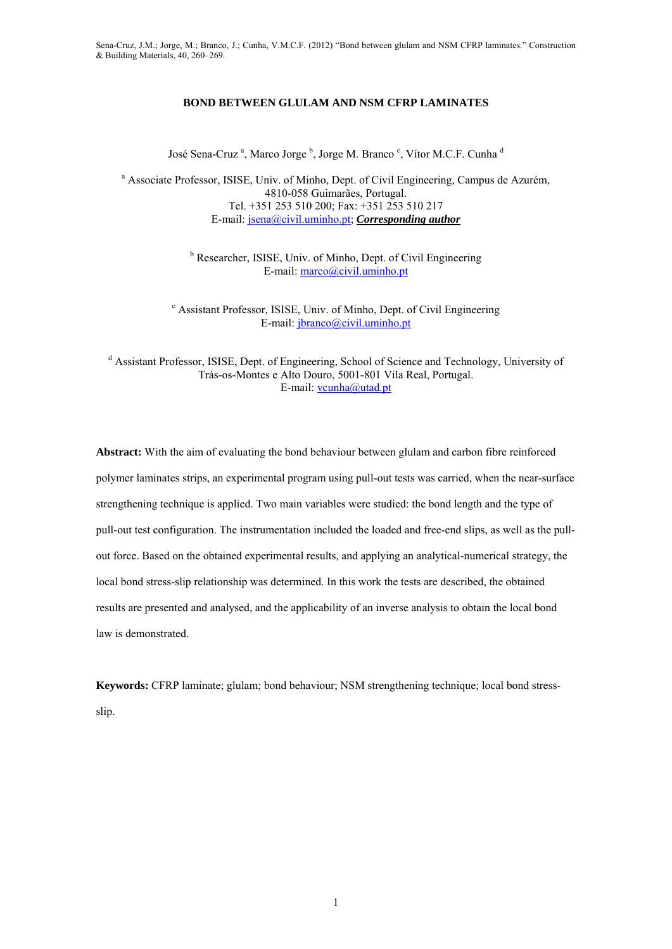## **BOND BETWEEN GLULAM AND NSM CFRP LAMINATES**

José Sena-Cruz<sup>a</sup>, Marco Jorge <sup>b</sup>, Jorge M. Branco<sup>c</sup>, Vítor M.C.F. Cunha<sup>d</sup>

<sup>a</sup> Associate Professor, ISISE, Univ. of Minho, Dept. of Civil Engineering, Campus de Azurém, 4810-058 Guimarães, Portugal. Tel. +351 253 510 200; Fax: +351 253 510 217 E-mail: jsena@civil.uminho.pt; *Corresponding author*

> <sup>b</sup> Researcher, ISISE, Univ. of Minho, Dept. of Civil Engineering E-mail: marco@civil.uminho.pt

c Assistant Professor, ISISE, Univ. of Minho, Dept. of Civil Engineering E-mail: jbranco@civil.uminho.pt

<sup>d</sup> Assistant Professor, ISISE, Dept. of Engineering, School of Science and Technology, University of Trás-os-Montes e Alto Douro, 5001-801 Vila Real, Portugal. E-mail: vcunha@utad.pt

**Abstract:** With the aim of evaluating the bond behaviour between glulam and carbon fibre reinforced polymer laminates strips, an experimental program using pull-out tests was carried, when the near-surface strengthening technique is applied. Two main variables were studied: the bond length and the type of pull-out test configuration. The instrumentation included the loaded and free-end slips, as well as the pullout force. Based on the obtained experimental results, and applying an analytical-numerical strategy, the local bond stress-slip relationship was determined. In this work the tests are described, the obtained results are presented and analysed, and the applicability of an inverse analysis to obtain the local bond law is demonstrated.

**Keywords:** CFRP laminate; glulam; bond behaviour; NSM strengthening technique; local bond stressslip.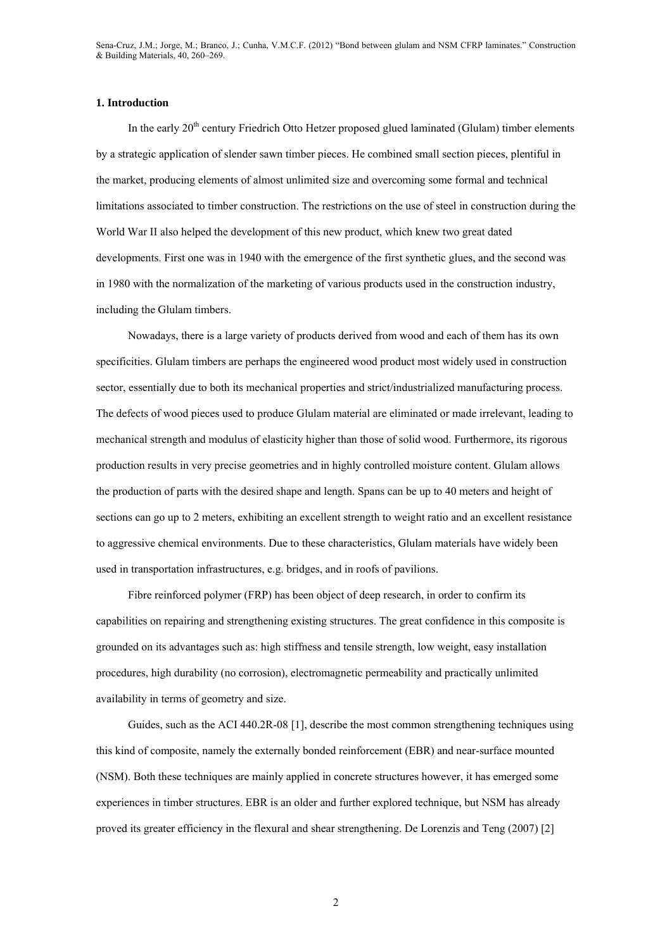#### **1. Introduction**

In the early  $20<sup>th</sup>$  century Friedrich Otto Hetzer proposed glued laminated (Glulam) timber elements by a strategic application of slender sawn timber pieces. He combined small section pieces, plentiful in the market, producing elements of almost unlimited size and overcoming some formal and technical limitations associated to timber construction. The restrictions on the use of steel in construction during the World War II also helped the development of this new product, which knew two great dated developments. First one was in 1940 with the emergence of the first synthetic glues, and the second was in 1980 with the normalization of the marketing of various products used in the construction industry, including the Glulam timbers.

Nowadays, there is a large variety of products derived from wood and each of them has its own specificities. Glulam timbers are perhaps the engineered wood product most widely used in construction sector, essentially due to both its mechanical properties and strict/industrialized manufacturing process. The defects of wood pieces used to produce Glulam material are eliminated or made irrelevant, leading to mechanical strength and modulus of elasticity higher than those of solid wood. Furthermore, its rigorous production results in very precise geometries and in highly controlled moisture content. Glulam allows the production of parts with the desired shape and length. Spans can be up to 40 meters and height of sections can go up to 2 meters, exhibiting an excellent strength to weight ratio and an excellent resistance to aggressive chemical environments. Due to these characteristics, Glulam materials have widely been used in transportation infrastructures, e.g. bridges, and in roofs of pavilions.

Fibre reinforced polymer (FRP) has been object of deep research, in order to confirm its capabilities on repairing and strengthening existing structures. The great confidence in this composite is grounded on its advantages such as: high stiffness and tensile strength, low weight, easy installation procedures, high durability (no corrosion), electromagnetic permeability and practically unlimited availability in terms of geometry and size.

Guides, such as the ACI 440.2R-08 [1], describe the most common strengthening techniques using this kind of composite, namely the externally bonded reinforcement (EBR) and near-surface mounted (NSM). Both these techniques are mainly applied in concrete structures however, it has emerged some experiences in timber structures. EBR is an older and further explored technique, but NSM has already proved its greater efficiency in the flexural and shear strengthening. De Lorenzis and Teng (2007) [2]

2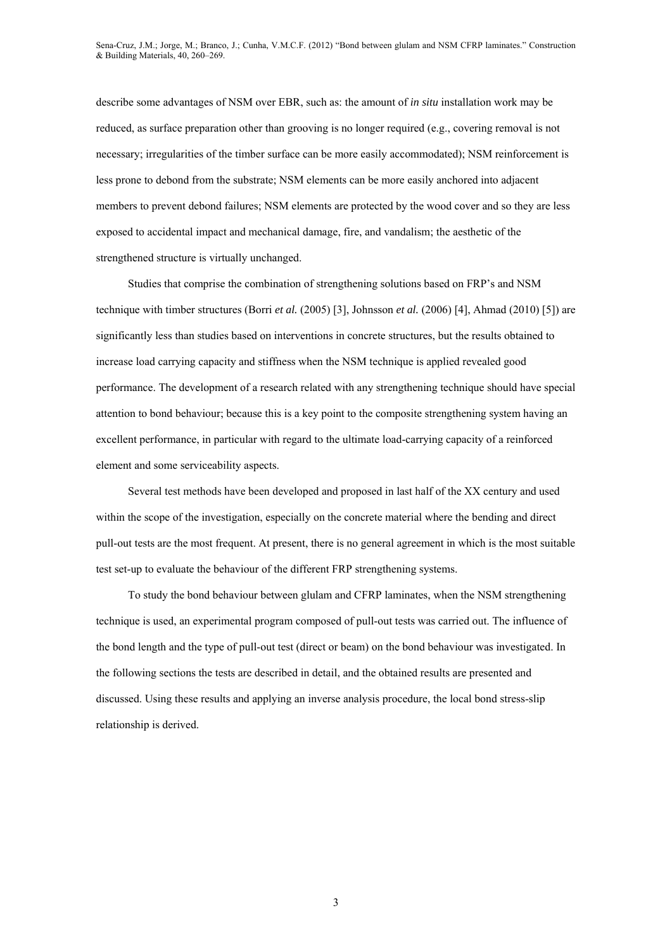describe some advantages of NSM over EBR, such as: the amount of *in situ* installation work may be reduced, as surface preparation other than grooving is no longer required (e.g., covering removal is not necessary; irregularities of the timber surface can be more easily accommodated); NSM reinforcement is less prone to debond from the substrate; NSM elements can be more easily anchored into adjacent members to prevent debond failures; NSM elements are protected by the wood cover and so they are less exposed to accidental impact and mechanical damage, fire, and vandalism; the aesthetic of the strengthened structure is virtually unchanged.

Studies that comprise the combination of strengthening solutions based on FRP's and NSM technique with timber structures (Borri *et al.* (2005) [3], Johnsson *et al.* (2006) [4], Ahmad (2010) [5]) are significantly less than studies based on interventions in concrete structures, but the results obtained to increase load carrying capacity and stiffness when the NSM technique is applied revealed good performance. The development of a research related with any strengthening technique should have special attention to bond behaviour; because this is a key point to the composite strengthening system having an excellent performance, in particular with regard to the ultimate load-carrying capacity of a reinforced element and some serviceability aspects.

Several test methods have been developed and proposed in last half of the XX century and used within the scope of the investigation, especially on the concrete material where the bending and direct pull-out tests are the most frequent. At present, there is no general agreement in which is the most suitable test set-up to evaluate the behaviour of the different FRP strengthening systems.

To study the bond behaviour between glulam and CFRP laminates, when the NSM strengthening technique is used, an experimental program composed of pull-out tests was carried out. The influence of the bond length and the type of pull-out test (direct or beam) on the bond behaviour was investigated. In the following sections the tests are described in detail, and the obtained results are presented and discussed. Using these results and applying an inverse analysis procedure, the local bond stress-slip relationship is derived.

3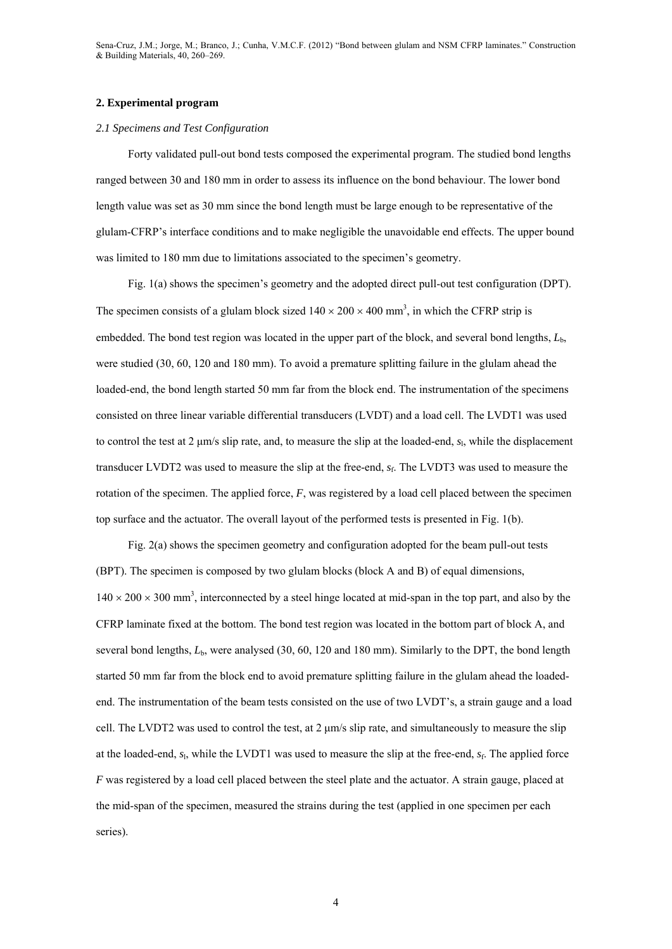## **2. Experimental program**

## *2.1 Specimens and Test Configuration*

Forty validated pull-out bond tests composed the experimental program. The studied bond lengths ranged between 30 and 180 mm in order to assess its influence on the bond behaviour. The lower bond length value was set as 30 mm since the bond length must be large enough to be representative of the glulam-CFRP's interface conditions and to make negligible the unavoidable end effects. The upper bound was limited to 180 mm due to limitations associated to the specimen's geometry.

Fig. 1(a) shows the specimen's geometry and the adopted direct pull-out test configuration (DPT). The specimen consists of a glulam block sized  $140 \times 200 \times 400$  mm<sup>3</sup>, in which the CFRP strip is embedded. The bond test region was located in the upper part of the block, and several bond lengths, *L*b, were studied (30, 60, 120 and 180 mm). To avoid a premature splitting failure in the glulam ahead the loaded-end, the bond length started 50 mm far from the block end. The instrumentation of the specimens consisted on three linear variable differential transducers (LVDT) and a load cell. The LVDT1 was used to control the test at 2 μm/s slip rate, and, to measure the slip at the loaded-end, *s*l, while the displacement transducer LVDT2 was used to measure the slip at the free-end, *s*f. The LVDT3 was used to measure the rotation of the specimen. The applied force, *F*, was registered by a load cell placed between the specimen top surface and the actuator. The overall layout of the performed tests is presented in Fig. 1(b).

Fig. 2(a) shows the specimen geometry and configuration adopted for the beam pull-out tests (BPT). The specimen is composed by two glulam blocks (block A and B) of equal dimensions,  $140 \times 200 \times 300$  mm<sup>3</sup>, interconnected by a steel hinge located at mid-span in the top part, and also by the CFRP laminate fixed at the bottom. The bond test region was located in the bottom part of block A, and several bond lengths, *L*b, were analysed (30, 60, 120 and 180 mm). Similarly to the DPT, the bond length started 50 mm far from the block end to avoid premature splitting failure in the glulam ahead the loadedend. The instrumentation of the beam tests consisted on the use of two LVDT's, a strain gauge and a load cell. The LVDT2 was used to control the test, at 2 μm/s slip rate, and simultaneously to measure the slip at the loaded-end, *s*l, while the LVDT1 was used to measure the slip at the free-end, *s*f. The applied force *F* was registered by a load cell placed between the steel plate and the actuator. A strain gauge, placed at the mid-span of the specimen, measured the strains during the test (applied in one specimen per each series).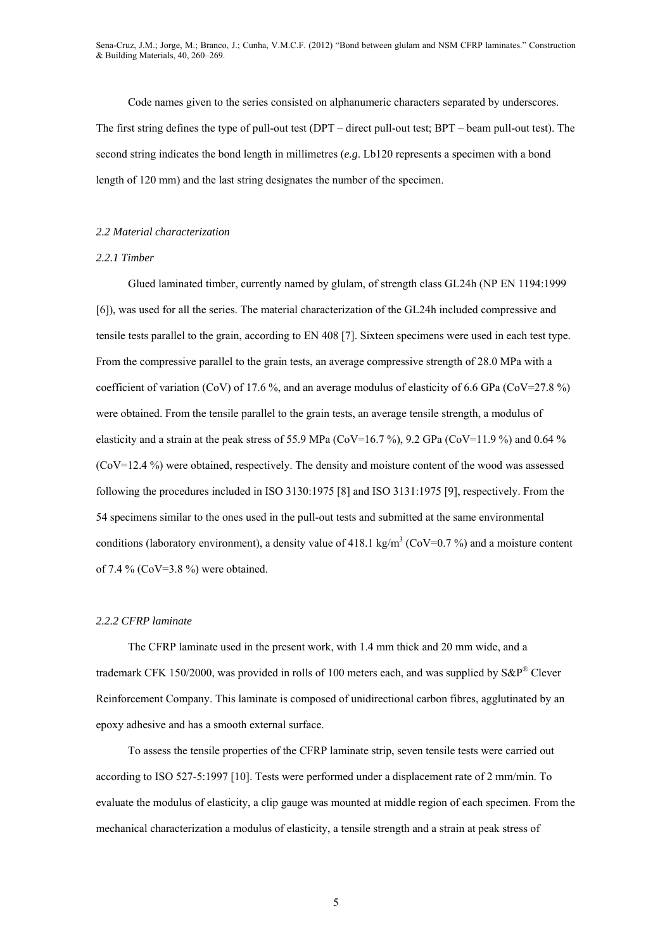Code names given to the series consisted on alphanumeric characters separated by underscores. The first string defines the type of pull-out test (DPT – direct pull-out test; BPT – beam pull-out test). The second string indicates the bond length in millimetres (*e.g*. Lb120 represents a specimen with a bond length of 120 mm) and the last string designates the number of the specimen.

## *2.2 Material characterization*

### *2.2.1 Timber*

Glued laminated timber, currently named by glulam, of strength class GL24h (NP EN 1194:1999 [6]), was used for all the series. The material characterization of the GL24h included compressive and tensile tests parallel to the grain, according to EN 408 [7]. Sixteen specimens were used in each test type. From the compressive parallel to the grain tests, an average compressive strength of 28.0 MPa with a coefficient of variation (CoV) of 17.6 %, and an average modulus of elasticity of 6.6 GPa (CoV=27.8 %) were obtained. From the tensile parallel to the grain tests, an average tensile strength, a modulus of elasticity and a strain at the peak stress of 55.9 MPa (CoV=16.7%), 9.2 GPa (CoV=11.9%) and 0.64% (CoV=12.4 %) were obtained, respectively. The density and moisture content of the wood was assessed following the procedures included in ISO 3130:1975 [8] and ISO 3131:1975 [9], respectively. From the 54 specimens similar to the ones used in the pull-out tests and submitted at the same environmental conditions (laboratory environment), a density value of 418.1 kg/m<sup>3</sup> (CoV=0.7 %) and a moisture content of 7.4 % (CoV=3.8 %) were obtained.

### *2.2.2 CFRP laminate*

The CFRP laminate used in the present work, with 1.4 mm thick and 20 mm wide, and a trademark CFK 150/2000, was provided in rolls of 100 meters each, and was supplied by S&P® Clever Reinforcement Company. This laminate is composed of unidirectional carbon fibres, agglutinated by an epoxy adhesive and has a smooth external surface.

To assess the tensile properties of the CFRP laminate strip, seven tensile tests were carried out according to ISO 527-5:1997 [10]. Tests were performed under a displacement rate of 2 mm/min. To evaluate the modulus of elasticity, a clip gauge was mounted at middle region of each specimen. From the mechanical characterization a modulus of elasticity, a tensile strength and a strain at peak stress of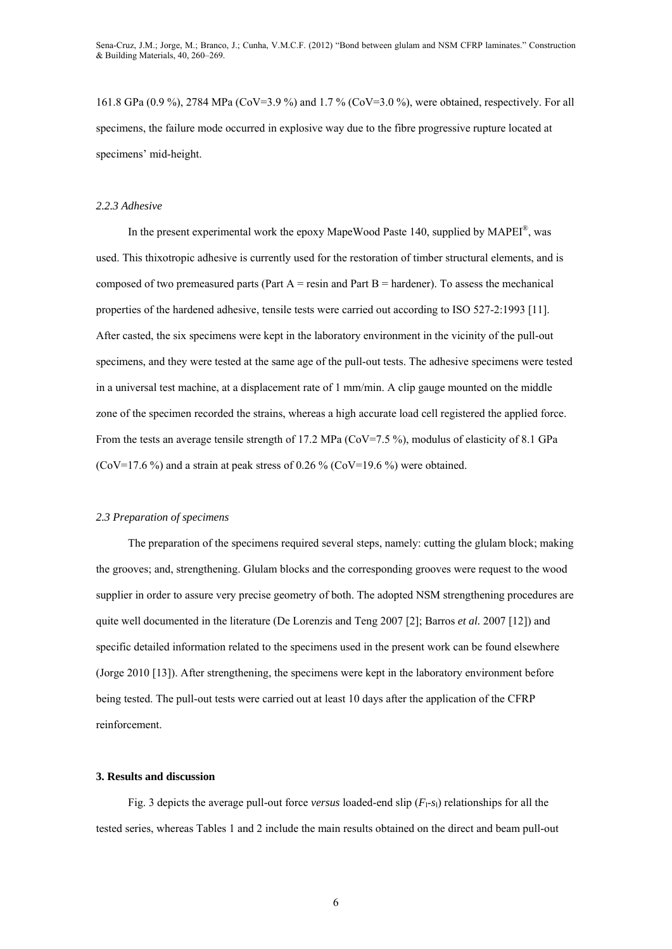161.8 GPa (0.9 %), 2784 MPa (CoV=3.9 %) and 1.7 % (CoV=3.0 %), were obtained, respectively. For all specimens, the failure mode occurred in explosive way due to the fibre progressive rupture located at specimens' mid-height.

## *2.2.3 Adhesive*

In the present experimental work the epoxy MapeWood Paste 140, supplied by  $MAPEI^{\circledast}$ , was used. This thixotropic adhesive is currently used for the restoration of timber structural elements, and is composed of two premeasured parts (Part  $A =$  resin and Part  $B =$  hardener). To assess the mechanical properties of the hardened adhesive, tensile tests were carried out according to ISO 527-2:1993 [11]. After casted, the six specimens were kept in the laboratory environment in the vicinity of the pull-out specimens, and they were tested at the same age of the pull-out tests. The adhesive specimens were tested in a universal test machine, at a displacement rate of 1 mm/min. A clip gauge mounted on the middle zone of the specimen recorded the strains, whereas a high accurate load cell registered the applied force. From the tests an average tensile strength of 17.2 MPa (CoV=7.5 %), modulus of elasticity of 8.1 GPa  $(CoV=17.6\%)$  and a strain at peak stress of 0.26 % (CoV=19.6 %) were obtained.

## *2.3 Preparation of specimens*

The preparation of the specimens required several steps, namely: cutting the glulam block; making the grooves; and, strengthening. Glulam blocks and the corresponding grooves were request to the wood supplier in order to assure very precise geometry of both. The adopted NSM strengthening procedures are quite well documented in the literature (De Lorenzis and Teng 2007 [2]; Barros *et al.* 2007 [12]) and specific detailed information related to the specimens used in the present work can be found elsewhere (Jorge 2010 [13]). After strengthening, the specimens were kept in the laboratory environment before being tested. The pull-out tests were carried out at least 10 days after the application of the CFRP reinforcement.

## **3. Results and discussion**

Fig. 3 depicts the average pull-out force *versus* loaded-end slip  $(F_1 - s_1)$  relationships for all the tested series, whereas Tables 1 and 2 include the main results obtained on the direct and beam pull-out

6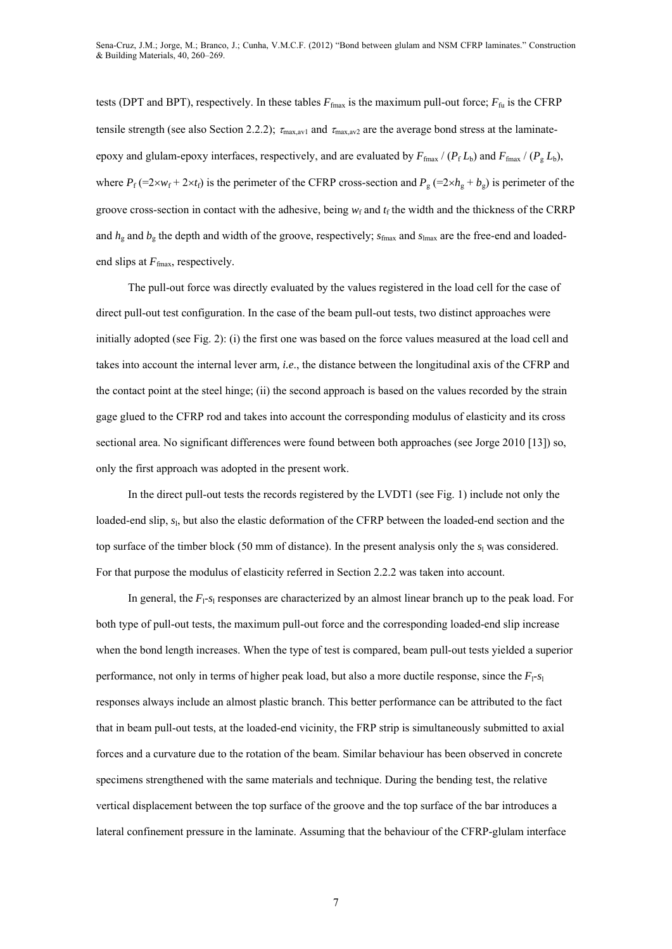tests (DPT and BPT), respectively. In these tables  $F_{\text{fmax}}$  is the maximum pull-out force;  $F_{\text{fu}}$  is the CFRP tensile strength (see also Section 2.2.2);  $\tau_{\text{max,av1}}$  and  $\tau_{\text{max,av2}}$  are the average bond stress at the laminateepoxy and glulam-epoxy interfaces, respectively, and are evaluated by  $F_{\text{fmax}} / (P_f L_b)$  and  $F_{\text{fmax}} / (P_g L_b)$ , where  $P_f$  (=2*xw*<sub>f</sub> + 2*xt*<sub>f</sub>) is the perimeter of the CFRP cross-section and  $P_g$  (=2*xh<sub>g</sub>* + *b<sub>g</sub>*) is perimeter of the groove cross-section in contact with the adhesive, being  $w_f$  and  $t_f$  the width and the thickness of the CRRP and  $h_g$  and  $b_g$  the depth and width of the groove, respectively;  $s_{\text{fmax}}$  and  $s_{\text{lmax}}$  are the free-end and loadedend slips at  $F_{\text{fmax}}$ , respectively.

The pull-out force was directly evaluated by the values registered in the load cell for the case of direct pull-out test configuration. In the case of the beam pull-out tests, two distinct approaches were initially adopted (see Fig. 2): (i) the first one was based on the force values measured at the load cell and takes into account the internal lever arm*, i.e*., the distance between the longitudinal axis of the CFRP and the contact point at the steel hinge; (ii) the second approach is based on the values recorded by the strain gage glued to the CFRP rod and takes into account the corresponding modulus of elasticity and its cross sectional area. No significant differences were found between both approaches (see Jorge 2010 [13]) so, only the first approach was adopted in the present work.

In the direct pull-out tests the records registered by the LVDT1 (see Fig. 1) include not only the loaded-end slip,  $s<sub>l</sub>$ , but also the elastic deformation of the CFRP between the loaded-end section and the top surface of the timber block (50 mm of distance). In the present analysis only the  $s<sub>l</sub>$  was considered. For that purpose the modulus of elasticity referred in Section 2.2.2 was taken into account.

In general, the  $F_1$ - $s_1$  responses are characterized by an almost linear branch up to the peak load. For both type of pull-out tests, the maximum pull-out force and the corresponding loaded-end slip increase when the bond length increases. When the type of test is compared, beam pull-out tests yielded a superior performance, not only in terms of higher peak load, but also a more ductile response, since the *F*l-*s*<sup>l</sup> responses always include an almost plastic branch. This better performance can be attributed to the fact that in beam pull-out tests, at the loaded-end vicinity, the FRP strip is simultaneously submitted to axial forces and a curvature due to the rotation of the beam. Similar behaviour has been observed in concrete specimens strengthened with the same materials and technique. During the bending test, the relative vertical displacement between the top surface of the groove and the top surface of the bar introduces a lateral confinement pressure in the laminate. Assuming that the behaviour of the CFRP-glulam interface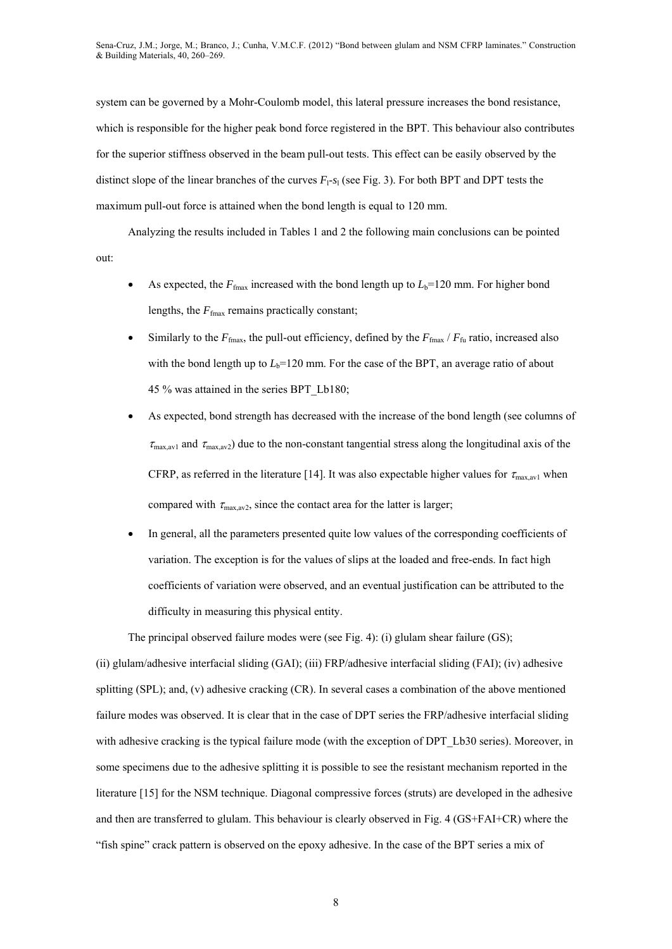system can be governed by a Mohr-Coulomb model, this lateral pressure increases the bond resistance, which is responsible for the higher peak bond force registered in the BPT. This behaviour also contributes for the superior stiffness observed in the beam pull-out tests. This effect can be easily observed by the distinct slope of the linear branches of the curves  $F_1$ - $s_1$  (see Fig. 3). For both BPT and DPT tests the maximum pull-out force is attained when the bond length is equal to 120 mm.

Analyzing the results included in Tables 1 and 2 the following main conclusions can be pointed out:

- As expected, the  $F_{\text{fmax}}$  increased with the bond length up to  $L_b=120$  mm. For higher bond lengths, the  $F_{\text{fmax}}$  remains practically constant;
- Similarly to the  $F_{\text{fmax}}$ , the pull-out efficiency, defined by the  $F_{\text{fmax}}/F_{\text{fu}}$  ratio, increased also with the bond length up to  $L<sub>b</sub>=120$  mm. For the case of the BPT, an average ratio of about 45 % was attained in the series BPT\_Lb180;
- As expected, bond strength has decreased with the increase of the bond length (see columns of  $\tau_{\text{max,av1}}$  and  $\tau_{\text{max,av2}}$ ) due to the non-constant tangential stress along the longitudinal axis of the CFRP, as referred in the literature [14]. It was also expectable higher values for  $\tau_{\text{max,av1}}$  when compared with  $\tau_{\text{max,av2}}$ , since the contact area for the latter is larger;
- In general, all the parameters presented quite low values of the corresponding coefficients of variation. The exception is for the values of slips at the loaded and free-ends. In fact high coefficients of variation were observed, and an eventual justification can be attributed to the difficulty in measuring this physical entity.

The principal observed failure modes were (see Fig. 4): (i) glulam shear failure (GS);

(ii) glulam/adhesive interfacial sliding (GAI); (iii) FRP/adhesive interfacial sliding (FAI); (iv) adhesive splitting (SPL); and, (v) adhesive cracking (CR). In several cases a combination of the above mentioned failure modes was observed. It is clear that in the case of DPT series the FRP/adhesive interfacial sliding with adhesive cracking is the typical failure mode (with the exception of DPT Lb30 series). Moreover, in some specimens due to the adhesive splitting it is possible to see the resistant mechanism reported in the literature [15] for the NSM technique. Diagonal compressive forces (struts) are developed in the adhesive and then are transferred to glulam. This behaviour is clearly observed in Fig. 4 (GS+FAI+CR) where the "fish spine" crack pattern is observed on the epoxy adhesive. In the case of the BPT series a mix of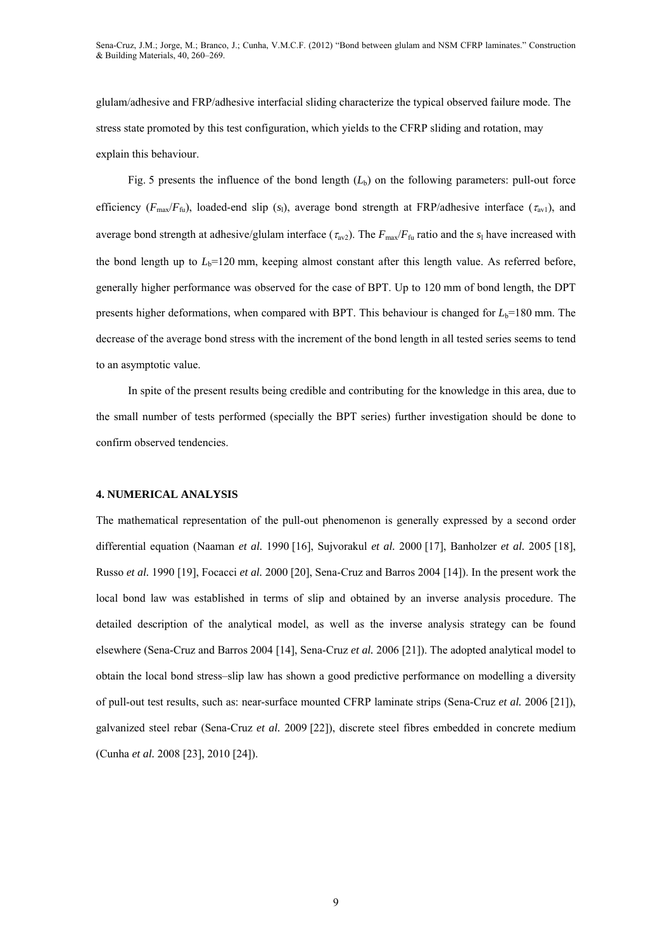glulam/adhesive and FRP/adhesive interfacial sliding characterize the typical observed failure mode. The stress state promoted by this test configuration, which yields to the CFRP sliding and rotation, may explain this behaviour.

Fig. 5 presents the influence of the bond length  $(L<sub>b</sub>)$  on the following parameters: pull-out force efficiency ( $F_{\text{max}}/F_{\text{fu}}$ ), loaded-end slip ( $s_1$ ), average bond strength at FRP/adhesive interface ( $\tau_{\text{av1}}$ ), and average bond strength at adhesive/glulam interface ( $\tau_{av2}$ ). The  $F_{max}/F_{fu}$  ratio and the  $s_1$  have increased with the bond length up to  $L<sub>b</sub>=120$  mm, keeping almost constant after this length value. As referred before, generally higher performance was observed for the case of BPT. Up to 120 mm of bond length, the DPT presents higher deformations, when compared with BPT. This behaviour is changed for  $L<sub>b</sub>=180$  mm. The decrease of the average bond stress with the increment of the bond length in all tested series seems to tend to an asymptotic value.

In spite of the present results being credible and contributing for the knowledge in this area, due to the small number of tests performed (specially the BPT series) further investigation should be done to confirm observed tendencies.

## **4. NUMERICAL ANALYSIS**

The mathematical representation of the pull-out phenomenon is generally expressed by a second order differential equation (Naaman *et al.* 1990 [16], Sujvorakul *et al.* 2000 [17], Banholzer *et al.* 2005 [18], Russo *et al.* 1990 [19], Focacci *et al.* 2000 [20], Sena-Cruz and Barros 2004 [14]). In the present work the local bond law was established in terms of slip and obtained by an inverse analysis procedure. The detailed description of the analytical model, as well as the inverse analysis strategy can be found elsewhere (Sena-Cruz and Barros 2004 [14], Sena-Cruz *et al.* 2006 [21]). The adopted analytical model to obtain the local bond stress–slip law has shown a good predictive performance on modelling a diversity of pull-out test results, such as: near-surface mounted CFRP laminate strips (Sena-Cruz *et al.* 2006 [21]), galvanized steel rebar (Sena-Cruz *et al.* 2009 [22]), discrete steel fibres embedded in concrete medium (Cunha *et al.* 2008 [23], 2010 [24]).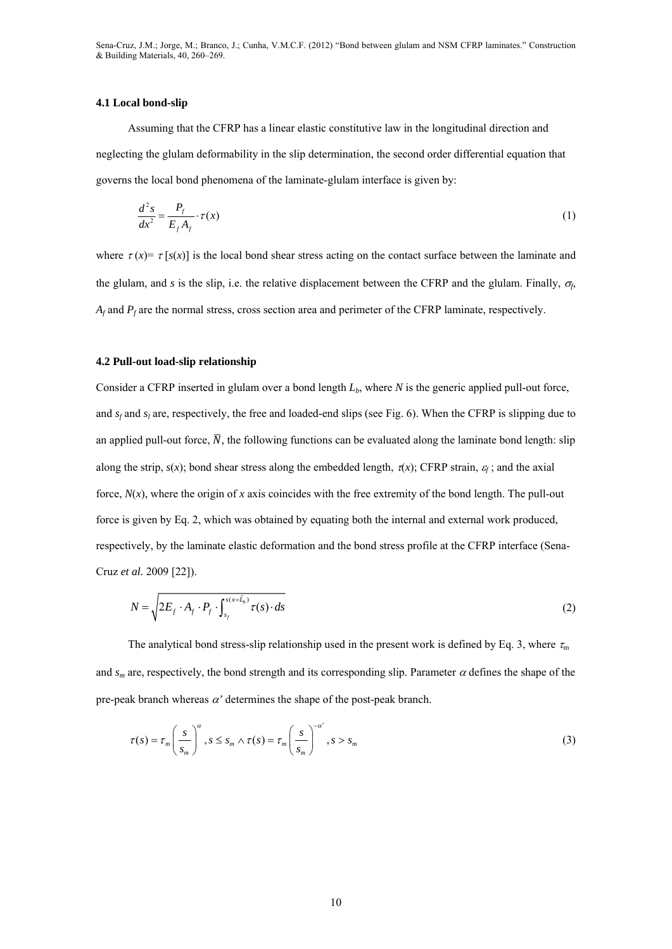### **4.1 Local bond-slip**

Assuming that the CFRP has a linear elastic constitutive law in the longitudinal direction and neglecting the glulam deformability in the slip determination, the second order differential equation that governs the local bond phenomena of the laminate-glulam interface is given by:

$$
\frac{d^2s}{dx^2} = \frac{P_f}{E_f A_f} \cdot \tau(x)
$$
 (1)

where  $\tau(x) = \tau[s(x)]$  is the local bond shear stress acting on the contact surface between the laminate and the glulam, and *s* is the slip, i.e. the relative displacement between the CFRP and the glulam. Finally,  $\sigma_f$  $A_f$  and  $P_f$  are the normal stress, cross section area and perimeter of the CFRP laminate, respectively.

# **4.2 Pull-out load-slip relationship**

Consider a CFRP inserted in glulam over a bond length  $L_b$ , where *N* is the generic applied pull-out force, and  $s_f$  and  $s_i$  are, respectively, the free and loaded-end slips (see Fig. 6). When the CFRP is slipping due to an applied pull-out force,  $\overline{N}$ , the following functions can be evaluated along the laminate bond length: slip along the strip,  $s(x)$ ; bond shear stress along the embedded length,  $\tau(x)$ ; CFRP strain,  $\varepsilon$ ; and the axial force,  $N(x)$ , where the origin of x axis coincides with the free extremity of the bond length. The pull-out force is given by Eq. 2, which was obtained by equating both the internal and external work produced, respectively, by the laminate elastic deformation and the bond stress profile at the CFRP interface (Sena-Cruz *et al.* 2009 [22]).

$$
N = \sqrt{2E_f \cdot A_f \cdot P_f \cdot \int_{s_f}^{s(x=\tilde{L}_b)} \tau(s) \cdot ds}
$$
 (2)

The analytical bond stress-slip relationship used in the present work is defined by Eq. 3, where  $\tau_{\rm m}$ and  $s_m$  are, respectively, the bond strength and its corresponding slip. Parameter  $\alpha$  defines the shape of the pre-peak branch whereas  $\alpha'$  determines the shape of the post-peak branch.

$$
\tau(s) = \tau_m \left(\frac{s}{s_m}\right)^{\alpha}, s \le s_m \wedge \tau(s) = \tau_m \left(\frac{s}{s_m}\right)^{-\alpha'}, s > s_m \tag{3}
$$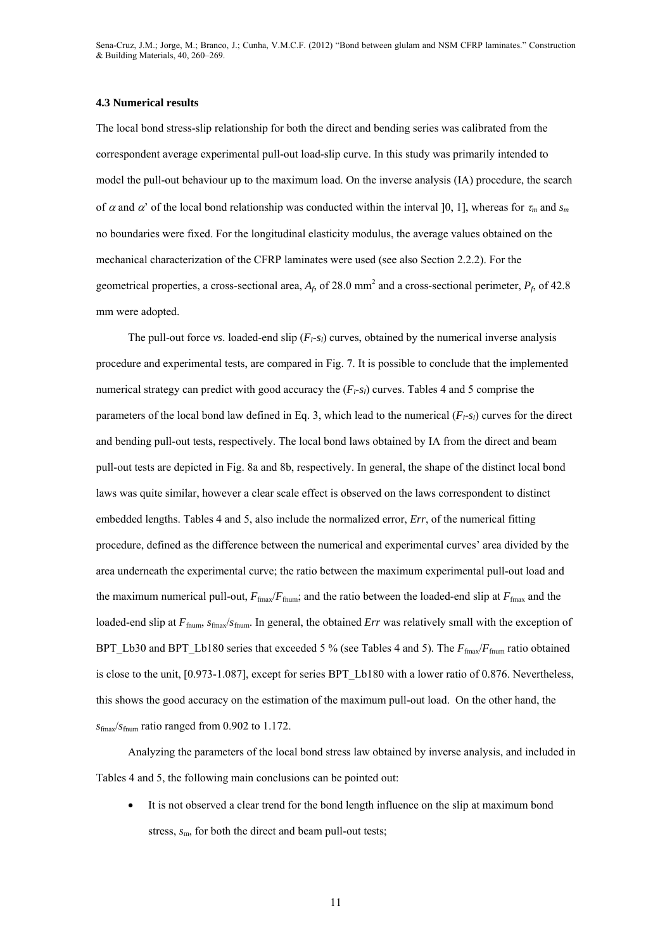#### **4.3 Numerical results**

The local bond stress-slip relationship for both the direct and bending series was calibrated from the correspondent average experimental pull-out load-slip curve. In this study was primarily intended to model the pull-out behaviour up to the maximum load. On the inverse analysis (IA) procedure, the search of  $\alpha$  and  $\alpha'$  of the local bond relationship was conducted within the interval [0, 1], whereas for  $\tau_m$  and  $s_m$ no boundaries were fixed. For the longitudinal elasticity modulus, the average values obtained on the mechanical characterization of the CFRP laminates were used (see also Section 2.2.2). For the geometrical properties, a cross-sectional area,  $A_f$ , of 28.0 mm<sup>2</sup> and a cross-sectional perimeter,  $P_f$ , of 42.8 mm were adopted.

The pull-out force *vs*. loaded-end slip  $(F_{\Gamma}s_l)$  curves, obtained by the numerical inverse analysis procedure and experimental tests, are compared in Fig. 7. It is possible to conclude that the implemented numerical strategy can predict with good accuracy the  $(F_f-s_i)$  curves. Tables 4 and 5 comprise the parameters of the local bond law defined in Eq. 3, which lead to the numerical  $(F_1-s)$  curves for the direct and bending pull-out tests, respectively. The local bond laws obtained by IA from the direct and beam pull-out tests are depicted in Fig. 8a and 8b, respectively. In general, the shape of the distinct local bond laws was quite similar, however a clear scale effect is observed on the laws correspondent to distinct embedded lengths. Tables 4 and 5, also include the normalized error, *Err*, of the numerical fitting procedure, defined as the difference between the numerical and experimental curves' area divided by the area underneath the experimental curve; the ratio between the maximum experimental pull-out load and the maximum numerical pull-out,  $F_{\text{fmax}}/F_{\text{fnum}}$ ; and the ratio between the loaded-end slip at  $F_{\text{fmax}}$  and the loaded-end slip at  $F_{\text{fnum}}$ ,  $s_{\text{fmax}}/s_{\text{fnum}}$ . In general, the obtained *Err* was relatively small with the exception of BPT\_Lb30 and BPT\_Lb180 series that exceeded 5 % (see Tables 4 and 5). The  $F_{\text{fmax}}/F_{\text{fnum}}$  ratio obtained is close to the unit, [0.973-1.087], except for series BPT\_Lb180 with a lower ratio of 0.876. Nevertheless, this shows the good accuracy on the estimation of the maximum pull-out load. On the other hand, the  $s_{\text{fmax}}/s_{\text{fnum}}$  ratio ranged from 0.902 to 1.172.

Analyzing the parameters of the local bond stress law obtained by inverse analysis, and included in Tables 4 and 5, the following main conclusions can be pointed out:

 It is not observed a clear trend for the bond length influence on the slip at maximum bond stress,  $s_m$ , for both the direct and beam pull-out tests;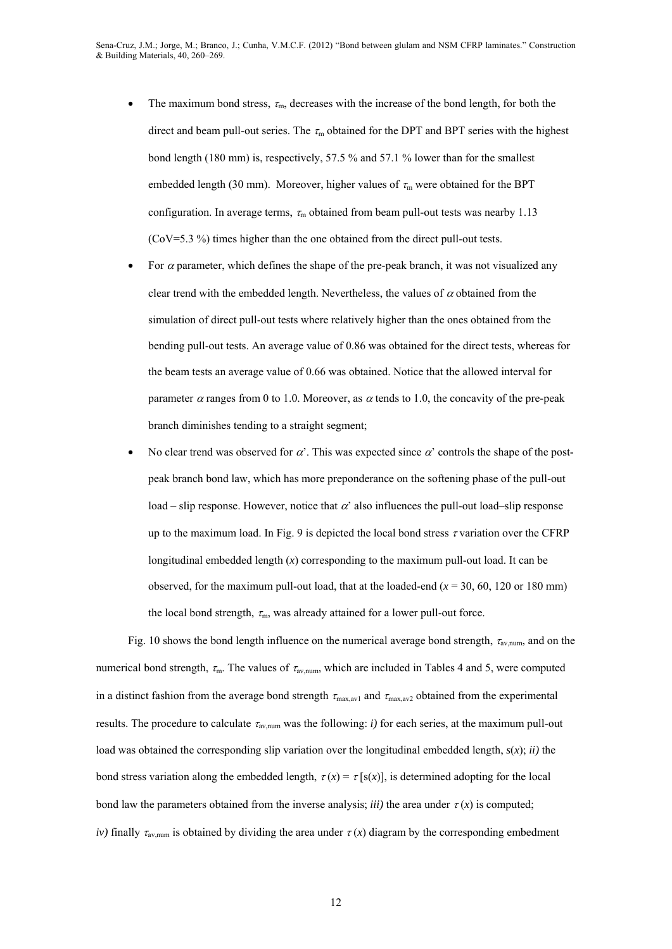- The maximum bond stress,  $\tau_m$ , decreases with the increase of the bond length, for both the direct and beam pull-out series. The  $\tau_{\rm m}$  obtained for the DPT and BPT series with the highest bond length (180 mm) is, respectively, 57.5 % and 57.1 % lower than for the smallest embedded length (30 mm). Moreover, higher values of  $\tau_{\rm m}$  were obtained for the BPT configuration. In average terms,  $\tau_{\rm m}$  obtained from beam pull-out tests was nearby 1.13 (CoV=5.3 %) times higher than the one obtained from the direct pull-out tests.
- For  $\alpha$  parameter, which defines the shape of the pre-peak branch, it was not visualized any clear trend with the embedded length. Nevertheless, the values of  $\alpha$  obtained from the simulation of direct pull-out tests where relatively higher than the ones obtained from the bending pull-out tests. An average value of 0.86 was obtained for the direct tests, whereas for the beam tests an average value of 0.66 was obtained. Notice that the allowed interval for parameter  $\alpha$  ranges from 0 to 1.0. Moreover, as  $\alpha$  tends to 1.0, the concavity of the pre-peak branch diminishes tending to a straight segment;
- No clear trend was observed for  $\alpha'$ . This was expected since  $\alpha'$  controls the shape of the postpeak branch bond law, which has more preponderance on the softening phase of the pull-out load – slip response. However, notice that  $\alpha'$  also influences the pull-out load–slip response up to the maximum load. In Fig. 9 is depicted the local bond stress  $\tau$  variation over the CFRP longitudinal embedded length (*x*) corresponding to the maximum pull-out load. It can be observed, for the maximum pull-out load, that at the loaded-end  $(x = 30, 60, 120$  or 180 mm) the local bond strength,  $\tau_{\rm m}$ , was already attained for a lower pull-out force.

Fig. 10 shows the bond length influence on the numerical average bond strength,  $\tau_{\text{av,num}}$ , and on the numerical bond strength,  $\tau_{m}$ . The values of  $\tau_{\text{av,num}}$ , which are included in Tables 4 and 5, were computed in a distinct fashion from the average bond strength  $\tau_{max,av1}$  and  $\tau_{max,av2}$  obtained from the experimental results. The procedure to calculate  $\tau_{av, num}$  was the following: *i*) for each series, at the maximum pull-out load was obtained the corresponding slip variation over the longitudinal embedded length,  $s(x)$ ; *ii*) the bond stress variation along the embedded length,  $\tau(x) = \tau[s(x)]$ , is determined adopting for the local bond law the parameters obtained from the inverse analysis; *iii*) the area under  $\tau(x)$  is computed; *iv*) finally  $\tau_{av,num}$  is obtained by dividing the area under  $\tau(x)$  diagram by the corresponding embedment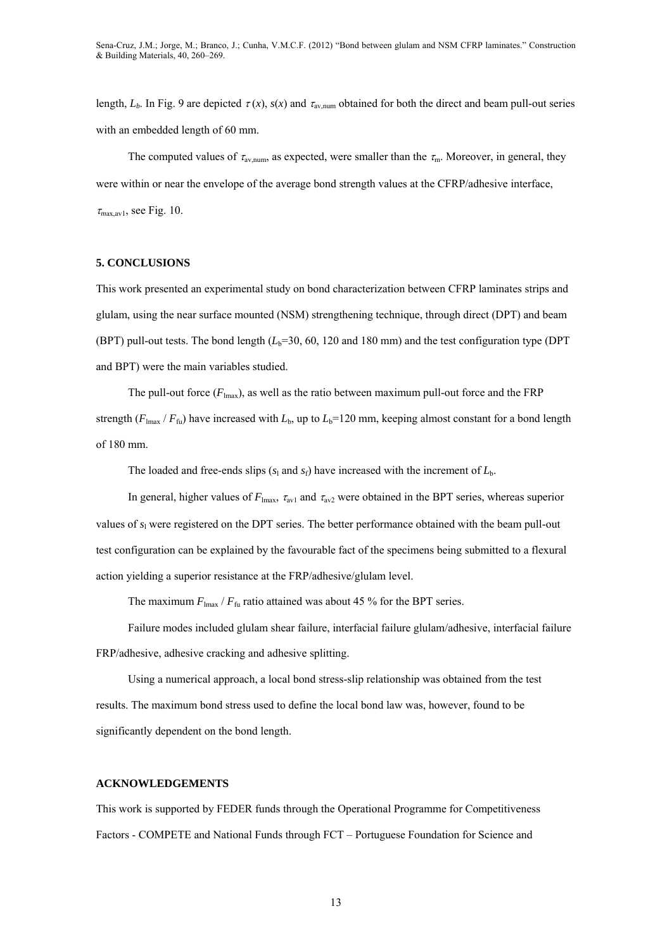length,  $L_b$ . In Fig. 9 are depicted  $\tau(x)$ ,  $s(x)$  and  $\tau_{\text{av,num}}$  obtained for both the direct and beam pull-out series with an embedded length of 60 mm.

The computed values of  $\tau_{av,num}$ , as expected, were smaller than the  $\tau_{m}$ . Moreover, in general, they were within or near the envelope of the average bond strength values at the CFRP/adhesive interface,  $\tau_{\text{max av1}}$ , see Fig. 10.

### **5. CONCLUSIONS**

This work presented an experimental study on bond characterization between CFRP laminates strips and glulam, using the near surface mounted (NSM) strengthening technique, through direct (DPT) and beam (BPT) pull-out tests. The bond length  $(L_b=30, 60, 120$  and 180 mm) and the test configuration type (DPT) and BPT) were the main variables studied.

The pull-out force  $(F_{lmax})$ , as well as the ratio between maximum pull-out force and the FRP strength ( $F_{\text{lmax}}$  / $F_{\text{fu}}$ ) have increased with  $L_{\text{b}}$ , up to  $L_{\text{b}}=120$  mm, keeping almost constant for a bond length of 180 mm.

The loaded and free-ends slips  $(s_1 \text{ and } s_f)$  have increased with the increment of  $L_{\rm b}$ .

In general, higher values of  $F_{\text{lmax}}$ ,  $\tau_{\text{av1}}$  and  $\tau_{\text{av2}}$  were obtained in the BPT series, whereas superior values of *s*l were registered on the DPT series. The better performance obtained with the beam pull-out test configuration can be explained by the favourable fact of the specimens being submitted to a flexural action yielding a superior resistance at the FRP/adhesive/glulam level.

The maximum  $F_{\text{lmax}}/F_{\text{fn}}$  ratio attained was about 45 % for the BPT series.

Failure modes included glulam shear failure, interfacial failure glulam/adhesive, interfacial failure FRP/adhesive, adhesive cracking and adhesive splitting.

Using a numerical approach, a local bond stress-slip relationship was obtained from the test results. The maximum bond stress used to define the local bond law was, however, found to be significantly dependent on the bond length.

## **ACKNOWLEDGEMENTS**

This work is supported by FEDER funds through the Operational Programme for Competitiveness Factors - COMPETE and National Funds through FCT – Portuguese Foundation for Science and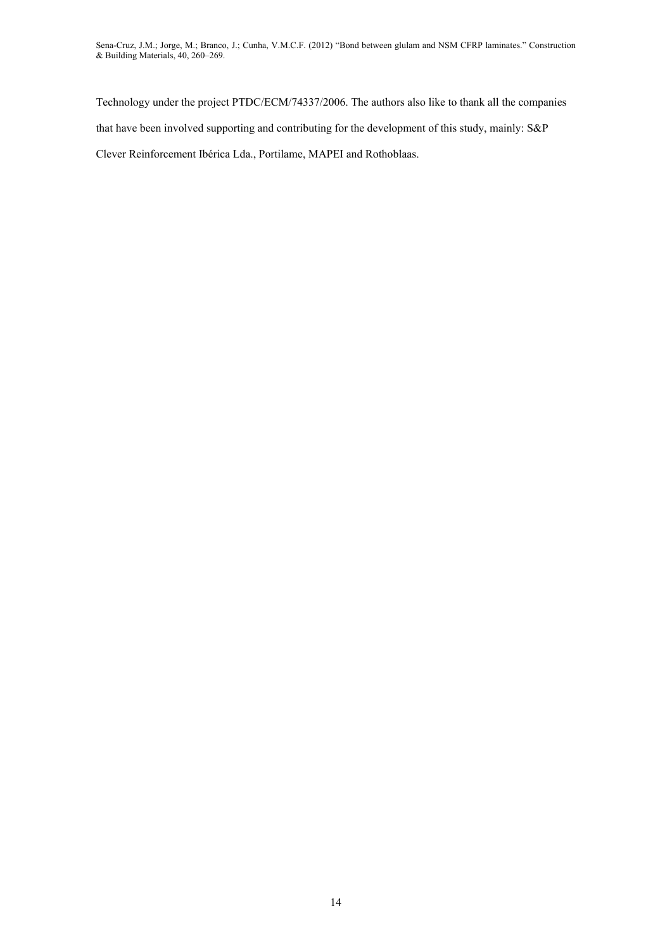Technology under the project PTDC/ECM/74337/2006. The authors also like to thank all the companies that have been involved supporting and contributing for the development of this study, mainly: S&P Clever Reinforcement Ibérica Lda., Portilame, MAPEI and Rothoblaas.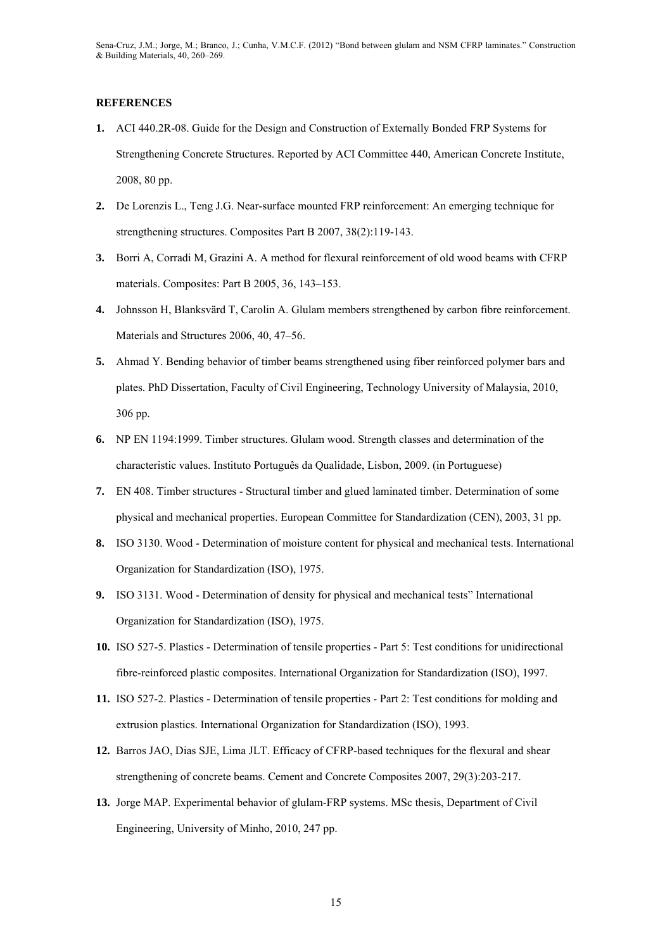### **REFERENCES**

- **1.** ACI 440.2R-08. Guide for the Design and Construction of Externally Bonded FRP Systems for Strengthening Concrete Structures. Reported by ACI Committee 440, American Concrete Institute, 2008, 80 pp.
- **2.** De Lorenzis L., Teng J.G. Near-surface mounted FRP reinforcement: An emerging technique for strengthening structures. Composites Part B 2007, 38(2):119-143.
- **3.** Borri A, Corradi M, Grazini A. A method for flexural reinforcement of old wood beams with CFRP materials. Composites: Part B 2005, 36, 143–153.
- **4.** Johnsson H, Blanksvärd T, Carolin A. Glulam members strengthened by carbon fibre reinforcement. Materials and Structures 2006, 40, 47–56.
- **5.** Ahmad Y. Bending behavior of timber beams strengthened using fiber reinforced polymer bars and plates. PhD Dissertation, Faculty of Civil Engineering, Technology University of Malaysia, 2010, 306 pp.
- **6.** NP EN 1194:1999. Timber structures. Glulam wood. Strength classes and determination of the characteristic values. Instituto Português da Qualidade, Lisbon, 2009. (in Portuguese)
- **7.** EN 408. Timber structures Structural timber and glued laminated timber. Determination of some physical and mechanical properties. European Committee for Standardization (CEN), 2003, 31 pp.
- **8.** ISO 3130. Wood Determination of moisture content for physical and mechanical tests. International Organization for Standardization (ISO), 1975.
- **9.** ISO 3131. Wood Determination of density for physical and mechanical tests" International Organization for Standardization (ISO), 1975.
- **10.** ISO 527-5. Plastics Determination of tensile properties Part 5: Test conditions for unidirectional fibre-reinforced plastic composites. International Organization for Standardization (ISO), 1997.
- **11.** ISO 527-2. Plastics Determination of tensile properties Part 2: Test conditions for molding and extrusion plastics. International Organization for Standardization (ISO), 1993.
- **12.** Barros JAO, Dias SJE, Lima JLT. Efficacy of CFRP-based techniques for the flexural and shear strengthening of concrete beams. Cement and Concrete Composites 2007, 29(3):203-217.
- **13.** Jorge MAP. Experimental behavior of glulam-FRP systems. MSc thesis, Department of Civil Engineering, University of Minho, 2010, 247 pp.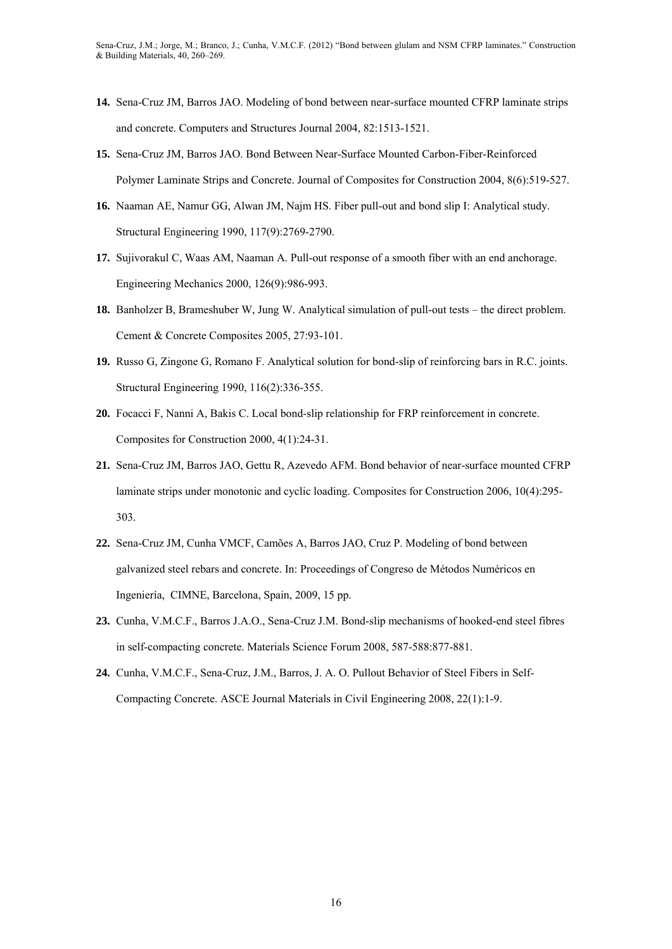- **14.** Sena-Cruz JM, Barros JAO. Modeling of bond between near-surface mounted CFRP laminate strips and concrete. Computers and Structures Journal 2004, 82:1513-1521.
- **15.** Sena-Cruz JM, Barros JAO. Bond Between Near-Surface Mounted Carbon-Fiber-Reinforced Polymer Laminate Strips and Concrete. Journal of Composites for Construction 2004, 8(6):519-527.
- **16.** Naaman AE, Namur GG, Alwan JM, Najm HS. Fiber pull-out and bond slip I: Analytical study. Structural Engineering 1990, 117(9):2769-2790.
- **17.** Sujivorakul C, Waas AM, Naaman A. Pull-out response of a smooth fiber with an end anchorage. Engineering Mechanics 2000, 126(9):986-993.
- **18.** Banholzer B, Brameshuber W, Jung W. Analytical simulation of pull-out tests the direct problem. Cement & Concrete Composites 2005, 27:93-101.
- **19.** Russo G, Zingone G, Romano F. Analytical solution for bond-slip of reinforcing bars in R.C. joints. Structural Engineering 1990, 116(2):336-355.
- **20.** Focacci F, Nanni A, Bakis C. Local bond-slip relationship for FRP reinforcement in concrete. Composites for Construction 2000, 4(1):24-31.
- **21.** Sena-Cruz JM, Barros JAO, Gettu R, Azevedo AFM. Bond behavior of near-surface mounted CFRP laminate strips under monotonic and cyclic loading. Composites for Construction 2006, 10(4):295- 303.
- **22.** Sena-Cruz JM, Cunha VMCF, Camões A, Barros JAO, Cruz P. Modeling of bond between galvanized steel rebars and concrete. In: Proceedings of Congreso de Métodos Numéricos en Ingeniería, CIMNE, Barcelona, Spain, 2009, 15 pp.
- **23.** Cunha, V.M.C.F., Barros J.A.O., Sena-Cruz J.M. Bond-slip mechanisms of hooked-end steel fibres in self-compacting concrete. Materials Science Forum 2008, 587-588:877-881.
- **24.** Cunha, V.M.C.F., Sena-Cruz, J.M., Barros, J. A. O. Pullout Behavior of Steel Fibers in Self-Compacting Concrete. ASCE Journal Materials in Civil Engineering 2008, 22(1):1-9.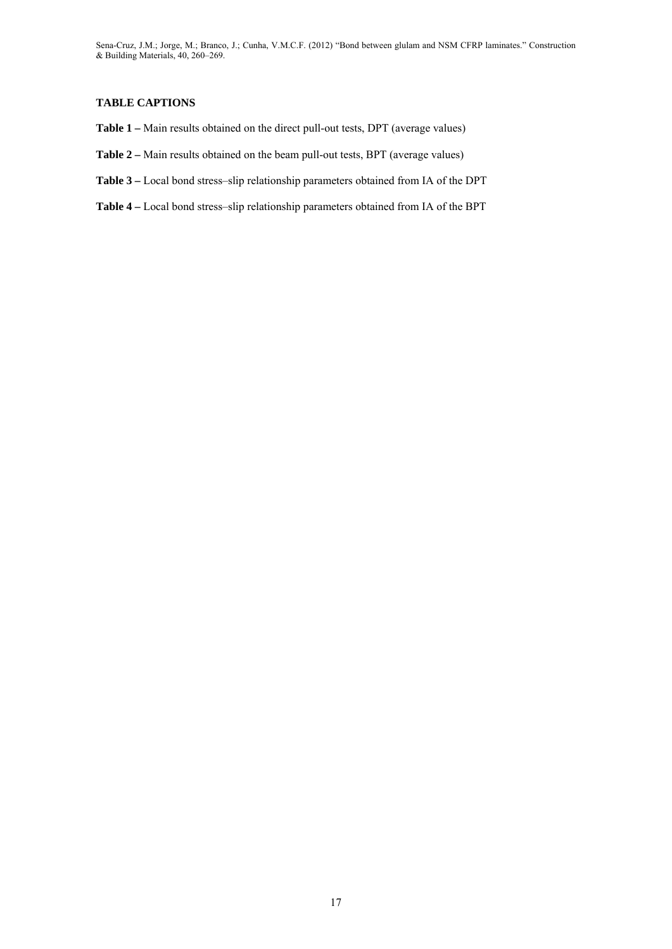# **TABLE CAPTIONS**

- **Table 1 –** Main results obtained on the direct pull-out tests, DPT (average values)
- **Table 2** Main results obtained on the beam pull-out tests, BPT (average values)
- **Table 3 –** Local bond stress–slip relationship parameters obtained from IA of the DPT
- **Table 4 –** Local bond stress–slip relationship parameters obtained from IA of the BPT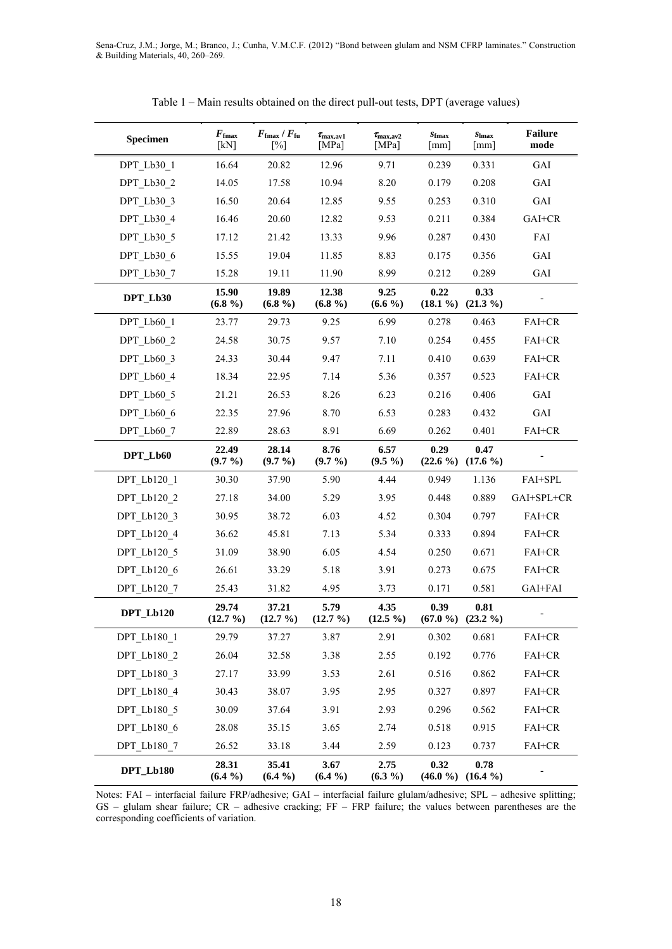| <b>Specimen</b>   | $F_{\text{fmax}}$<br>[kN] | $F_{\text{fmax}}/F_{\text{fu}}$<br>$\lceil\% \rceil$ | $\tau_{\rm max, av1}$<br>[MPa] | $\tau_{\rm max, av2}$<br>[MPa] | $s_{\rm{fmax}}$<br>[mm] | $s_{\rm lmax}$<br>$\lceil$ mm $\rceil$ | <b>Failure</b><br>mode |
|-------------------|---------------------------|------------------------------------------------------|--------------------------------|--------------------------------|-------------------------|----------------------------------------|------------------------|
| DPT Lb30 1        | 16.64                     | 20.82                                                | 12.96                          | 9.71                           | 0.239                   | 0.331                                  | GAI                    |
| DPT Lb30 2        | 14.05                     | 17.58                                                | 10.94                          | 8.20                           | 0.179                   | 0.208                                  | GAI                    |
| DPT Lb30 3        | 16.50                     | 20.64                                                | 12.85                          | 9.55                           | 0.253                   | 0.310                                  | GAI                    |
| DPT Lb30 4        | 16.46                     | 20.60                                                | 12.82                          | 9.53                           | 0.211                   | 0.384                                  | GAI+CR                 |
| DPT Lb30 5        | 17.12                     | 21.42                                                | 13.33                          | 9.96                           | 0.287                   | 0.430                                  | FAI                    |
| DPT Lb30 6        | 15.55                     | 19.04                                                | 11.85                          | 8.83                           | 0.175                   | 0.356                                  | GAI                    |
| DPT Lb30 7        | 15.28                     | 19.11                                                | 11.90                          | 8.99                           | 0.212                   | 0.289                                  | GAI                    |
| DPT_Lb30          | 15.90<br>$(6.8\%)$        | 19.89<br>$(6.8\%)$                                   | 12.38<br>$(6.8\%)$             | 9.25<br>$(6.6\%)$              | 0.22<br>$(18.1\%)$      | 0.33<br>$(21.3\%)$                     |                        |
| DPT Lb60 1        | 23.77                     | 29.73                                                | 9.25                           | 6.99                           | 0.278                   | 0.463                                  | FAI+CR                 |
| DPT Lb60 2        | 24.58                     | 30.75                                                | 9.57                           | 7.10                           | 0.254                   | 0.455                                  | FAI+CR                 |
| DPT Lb60 3        | 24.33                     | 30.44                                                | 9.47                           | 7.11                           | 0.410                   | 0.639                                  | FAI+CR                 |
| DPT Lb60 4        | 18.34                     | 22.95                                                | 7.14                           | 5.36                           | 0.357                   | 0.523                                  | FAI+CR                 |
| DPT Lb60 5        | 21.21                     | 26.53                                                | 8.26                           | 6.23                           | 0.216                   | 0.406                                  | GAI                    |
| <b>DPT</b> Lb60 6 | 22.35                     | 27.96                                                | 8.70                           | 6.53                           | 0.283                   | 0.432                                  | GAI                    |
| DPT Lb60 7        | 22.89                     | 28.63                                                | 8.91                           | 6.69                           | 0.262                   | 0.401                                  | FAI+CR                 |
| DPT_Lb60          | 22.49<br>$(9.7\%)$        | 28.14<br>$(9.7\%)$                                   | 8.76<br>$(9.7\%)$              | 6.57<br>$(9.5\%)$              | 0.29<br>$(22.6\%)$      | 0.47<br>$(17.6\%)$                     |                        |
| DPT Lb120 1       | 30.30                     | 37.90                                                | 5.90                           | 4.44                           | 0.949                   | 1.136                                  | FAI+SPL                |
| DPT Lb120 2       | 27.18                     | 34.00                                                | 5.29                           | 3.95                           | 0.448                   | 0.889                                  | GAI+SPL+CR             |
| DPT Lb120 3       | 30.95                     | 38.72                                                | 6.03                           | 4.52                           | 0.304                   | 0.797                                  | FAI+CR                 |
| DPT Lb120 4       | 36.62                     | 45.81                                                | 7.13                           | 5.34                           | 0.333                   | 0.894                                  | FAI+CR                 |
| DPT Lb120 5       | 31.09                     | 38.90                                                | 6.05                           | 4.54                           | 0.250                   | 0.671                                  | FAI+CR                 |
| DPT Lb120 6       | 26.61                     | 33.29                                                | 5.18                           | 3.91                           | 0.273                   | 0.675                                  | FAI+CR                 |
| DPT Lb120 7       | 25.43                     | 31.82                                                | 4.95                           | 3.73                           | 0.171                   | 0.581                                  | GAI+FAI                |
| DPT_Lb120         | 29.74<br>$(12.7\%)$       | 37.21<br>$(12.7\%)$                                  | 5.79<br>$(12.7\%)$             | 4.35<br>$(12.5\%)$             | 0.39<br>$(67.0\%)$      | 0.81<br>$(23.2\%)$                     |                        |
| DPT Lb180 1       | 29.79                     | 37.27                                                | 3.87                           | 2.91                           | 0.302                   | 0.681                                  | FAI+CR                 |
| DPT Lb180 2       | 26.04                     | 32.58                                                | 3.38                           | 2.55                           | 0.192                   | 0.776                                  | FAI+CR                 |
| DPT Lb180 3       | 27.17                     | 33.99                                                | 3.53                           | 2.61                           | 0.516                   | 0.862                                  | FAI+CR                 |
| DPT Lb180 4       | 30.43                     | 38.07                                                | 3.95                           | 2.95                           | 0.327                   | 0.897                                  | FAI+CR                 |
| DPT Lb180 5       | 30.09                     | 37.64                                                | 3.91                           | 2.93                           | 0.296                   | 0.562                                  | FAI+CR                 |
| DPT Lb180 6       | 28.08                     | 35.15                                                | 3.65                           | 2.74                           | 0.518                   | 0.915                                  | FAI+CR                 |
| DPT Lb180 7       | 26.52                     | 33.18                                                | 3.44                           | 2.59                           | 0.123                   | 0.737                                  | FAI+CR                 |
| DPT_Lb180         | 28.31<br>$(6.4\%)$        | 35.41<br>$(6.4\%)$                                   | 3.67<br>$(6.4\%)$              | 2.75<br>$(6.3\%)$              | 0.32<br>(46.0 %)        | 0.78<br>$(16.4\%)$                     |                        |

Table 1 – Main results obtained on the direct pull-out tests, DPT (average values)

Notes: FAI – interfacial failure FRP/adhesive; GAI – interfacial failure glulam/adhesive; SPL – adhesive splitting; GS – glulam shear failure; CR – adhesive cracking; FF – FRP failure; the values between parentheses are the corresponding coefficients of variation.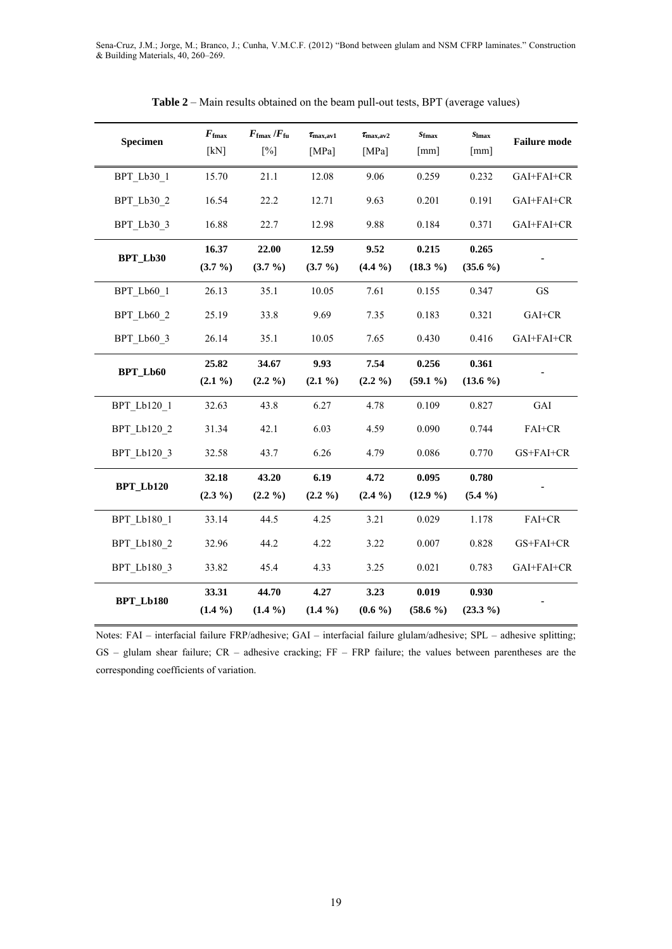| <b>Specimen</b>    | $F_{\text{fmax}}$<br>[kN] | $F_{\text{fmax}}/F_{\text{fu}}$<br>$[%]$ | $\tau_{\rm max, av1}$<br>[MPa] | $\tau_{\rm max, av2}$<br>[MPa] | $s_{\rm{fmax}}$<br>[mm] | $s_{\rm lmax}$<br>[mm] | <b>Failure mode</b> |  |
|--------------------|---------------------------|------------------------------------------|--------------------------------|--------------------------------|-------------------------|------------------------|---------------------|--|
| BPT Lb30 1         | 15.70                     | 21.1                                     | 12.08                          | 9.06                           | 0.259                   | 0.232                  | GAI+FAI+CR          |  |
| BPT Lb30 2         | 16.54                     | 22.2                                     | 12.71                          | 9.63                           | 0.201                   | 0.191                  | GAI+FAI+CR          |  |
| BPT Lb30 3         | 16.88                     | 22.7                                     | 12.98                          | 9.88                           | 0.184                   | 0.371                  | GAI+FAI+CR          |  |
| BPT_Lb30           | 16.37                     | 22.00                                    | 12.59                          | 9.52                           | 0.215                   | 0.265                  |                     |  |
|                    | $(3.7\%)$                 | $(3.7\%)$                                | $(3.7\% )$                     | $(4.4\%)$                      | $(18.3\%)$              | $(35.6\%)$             |                     |  |
| BPT Lb60 1         | 26.13                     | 35.1                                     | 10.05                          | 7.61                           | 0.155                   | 0.347                  | <b>GS</b>           |  |
| BPT Lb60 2         | 25.19                     | 33.8                                     | 9.69                           | 7.35                           | 0.183                   | 0.321                  | GAI+CR              |  |
| BPT Lb60 3         | 26.14                     | 35.1                                     | 10.05                          | 7.65                           | 0.430                   | 0.416                  | GAI+FAI+CR          |  |
| BPT_Lb60           | 25.82                     | 34.67                                    | 9.93                           | 7.54                           | 0.256                   | 0.361                  |                     |  |
|                    | $(2.1\%)$                 | $(2.2\%)$                                | $(2.1\%)$                      | $(2.2\%)$                      | $(59.1\%)$              | $(13.6\%)$             |                     |  |
| <b>BPT Lb120 1</b> | 32.63                     | 43.8                                     | 6.27                           | 4.78                           | 0.109                   | 0.827                  | GAI                 |  |
| <b>BPT Lb120 2</b> | 31.34                     | 42.1                                     | 6.03                           | 4.59                           | 0.090                   | 0.744                  | FAI+CR              |  |
| BPT Lb120 3        | 32.58                     | 43.7                                     | 6.26                           | 4.79                           | 0.086                   | 0.770                  | GS+FAI+CR           |  |
| BPT_Lb120          | 32.18                     | 43.20                                    | 6.19                           | 4.72                           | 0.095                   | 0.780                  |                     |  |
|                    | $(2.3\%)$                 | $(2.2\%)$                                | $(2.2\%)$                      | $(2.4\%)$                      | $(12.9\%)$              | $(5.4\%)$              |                     |  |
| <b>BPT Lb180 1</b> | 33.14                     | 44.5                                     | 4.25                           | 3.21                           | 0.029                   | 1.178                  | FAI+CR              |  |
| <b>BPT Lb180 2</b> | 32.96                     | 44.2                                     | 4.22                           | 3.22                           | 0.007                   | 0.828                  | GS+FAI+CR           |  |
| <b>BPT Lb180 3</b> | 33.82                     | 45.4                                     | 4.33                           | 3.25                           | 0.021                   | 0.783                  | GAI+FAI+CR          |  |
| BPT_Lb180          | 33.31                     | 44.70                                    | 4.27                           | 3.23                           | 0.019                   | 0.930                  |                     |  |
|                    | $(1.4\%)$                 | $(1.4\%)$                                | $(1.4\%)$                      | $(0.6\%)$                      | $(58.6\%)$              | $(23.3\%)$             |                     |  |

**Table 2** – Main results obtained on the beam pull-out tests, BPT (average values)

Notes: FAI – interfacial failure FRP/adhesive; GAI – interfacial failure glulam/adhesive; SPL – adhesive splitting; GS – glulam shear failure; CR – adhesive cracking; FF – FRP failure; the values between parentheses are the corresponding coefficients of variation.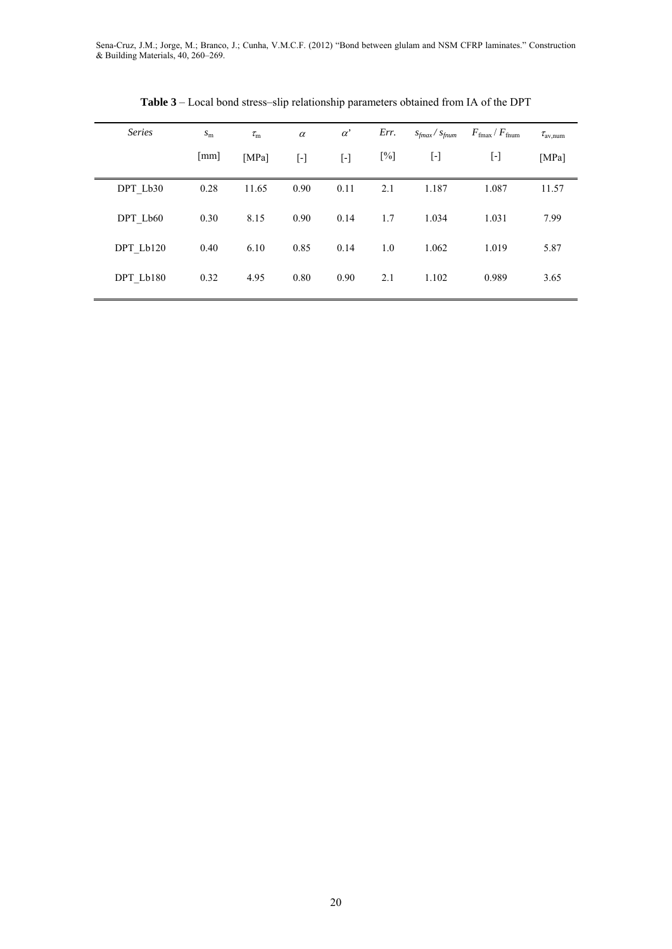| <b>Series</b> | $S_{\rm m}$        | $\tau_{\rm m}$ | $\alpha$  | $\alpha'$ | Err.   | $s_{\text{fmax}}/s_{\text{fnum}}$ | $F_{\text{fmax}}/F_{\text{fnum}}$ | $\tau_{\rm av, num}$ |
|---------------|--------------------|----------------|-----------|-----------|--------|-----------------------------------|-----------------------------------|----------------------|
|               | $\lceil mm \rceil$ | [MPa]          | $[\cdot]$ | $[\cdot]$ | $[\%]$ | $[\cdot]$                         | $[\cdot]$                         | [ $MPa$ ]            |
| DPT Lb30      | 0.28               | 11.65          | 0.90      | 0.11      | 2.1    | 1.187                             | 1.087                             | 11.57                |
| DPT Lb60      | 0.30               | 8.15           | 0.90      | 0.14      | 1.7    | 1.034                             | 1.031                             | 7.99                 |
| DPT Lb120     | 0.40               | 6.10           | 0.85      | 0.14      | 1.0    | 1.062                             | 1.019                             | 5.87                 |
| DPT Lb180     | 0.32               | 4.95           | 0.80      | 0.90      | 2.1    | 1.102                             | 0.989                             | 3.65                 |

**Table 3** – Local bond stress–slip relationship parameters obtained from IA of the DPT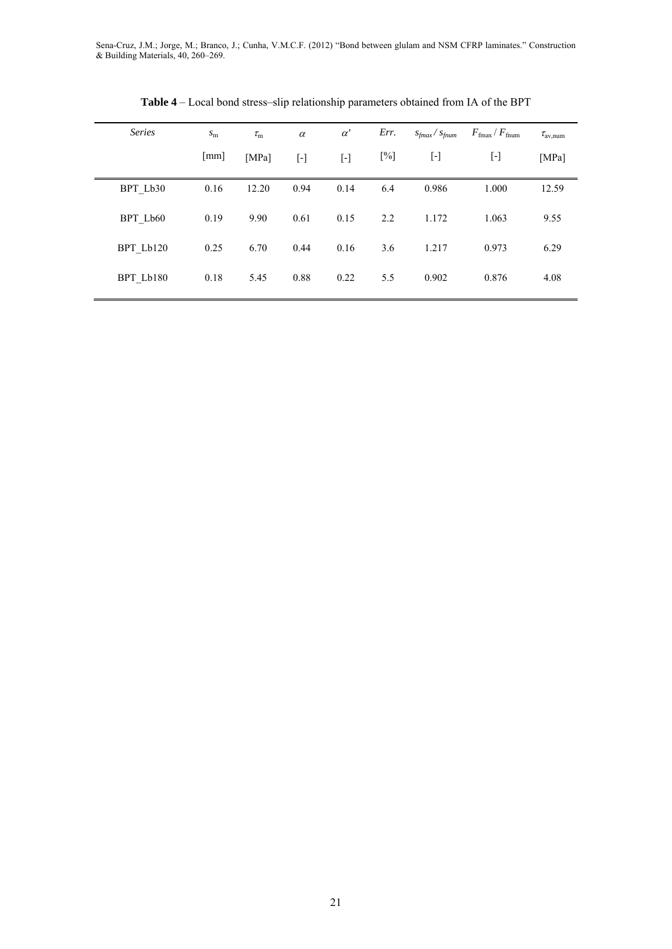| <b>Series</b> | $S_{\rm m}$<br>$\lceil$ mm $\rceil$ | $\tau_{\rm m}$<br>[MPa] | $\alpha$<br>$[$ | $\alpha'$<br>$[\cdot]$ | Err.<br>$[\%]$ | $s_{\text{fmax}}/s_{\text{fnum}}$<br>$[\cdot]$ | $F_{\text{fmax}}/F_{\text{fnum}}$<br>$\left[ \cdot \right]$ | $\tau_{\text{av},\text{num}}$<br>[MPa] |
|---------------|-------------------------------------|-------------------------|-----------------|------------------------|----------------|------------------------------------------------|-------------------------------------------------------------|----------------------------------------|
| BPT Lb30      | 0.16                                | 12.20                   | 0.94            | 0.14                   | 6.4            | 0.986                                          | 1.000                                                       | 12.59                                  |
| BPT Lb60      | 0.19                                | 9.90                    | 0.61            | 0.15                   | 2.2            | 1.172                                          | 1.063                                                       | 9.55                                   |
| BPT Lb120     | 0.25                                | 6.70                    | 0.44            | 0.16                   | 3.6            | 1.217                                          | 0.973                                                       | 6.29                                   |
| BPT Lb180     | 0.18                                | 5.45                    | 0.88            | 0.22                   | 5.5            | 0.902                                          | 0.876                                                       | 4.08                                   |

**Table 4** – Local bond stress–slip relationship parameters obtained from IA of the BPT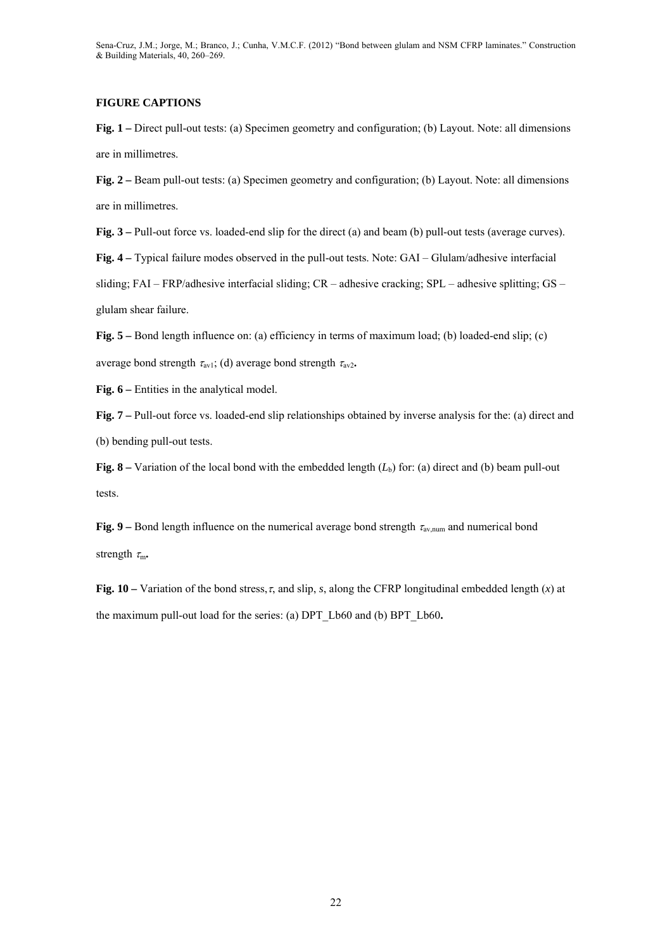## **FIGURE CAPTIONS**

**Fig. 1 –** Direct pull-out tests: (a) Specimen geometry and configuration; (b) Layout. Note: all dimensions are in millimetres.

**Fig. 2 –** Beam pull-out tests: (a) Specimen geometry and configuration; (b) Layout. Note: all dimensions are in millimetres.

**Fig. 3** – Pull-out force vs. loaded-end slip for the direct (a) and beam (b) pull-out tests (average curves).

**Fig. 4 –** Typical failure modes observed in the pull-out tests. Note: GAI – Glulam/adhesive interfacial

sliding; FAI – FRP/adhesive interfacial sliding; CR – adhesive cracking; SPL – adhesive splitting; GS – glulam shear failure.

**Fig. 5 –** Bond length influence on: (a) efficiency in terms of maximum load; (b) loaded-end slip; (c) average bond strength  $\tau_{\text{av1}}$ ; (d) average bond strength  $\tau_{\text{av2}}$ .

**Fig. 6** – Entities in the analytical model.

**Fig. 7** – Pull-out force vs. loaded-end slip relationships obtained by inverse analysis for the: (a) direct and (b) bending pull-out tests.

**Fig. 8** – Variation of the local bond with the embedded length  $(L_b)$  for: (a) direct and (b) beam pull-out tests.

**Fig. 9** – Bond length influence on the numerical average bond strength  $\tau_{av, num}$  and numerical bond strength  $\tau_{\rm m}$ .

**Fig. 10** – Variation of the bond stress,  $\tau$ , and slip, *s*, along the CFRP longitudinal embedded length (*x*) at the maximum pull-out load for the series: (a) DPT\_Lb60 and (b) BPT\_Lb60**.**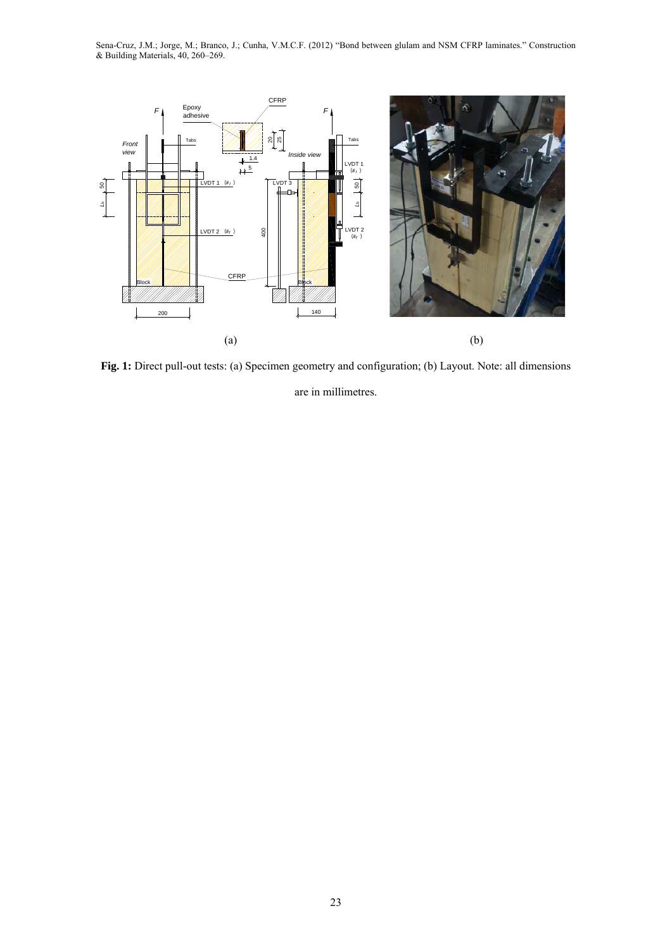

**Fig. 1:** Direct pull-out tests: (a) Specimen geometry and configuration; (b) Layout. Note: all dimensions

are in millimetres.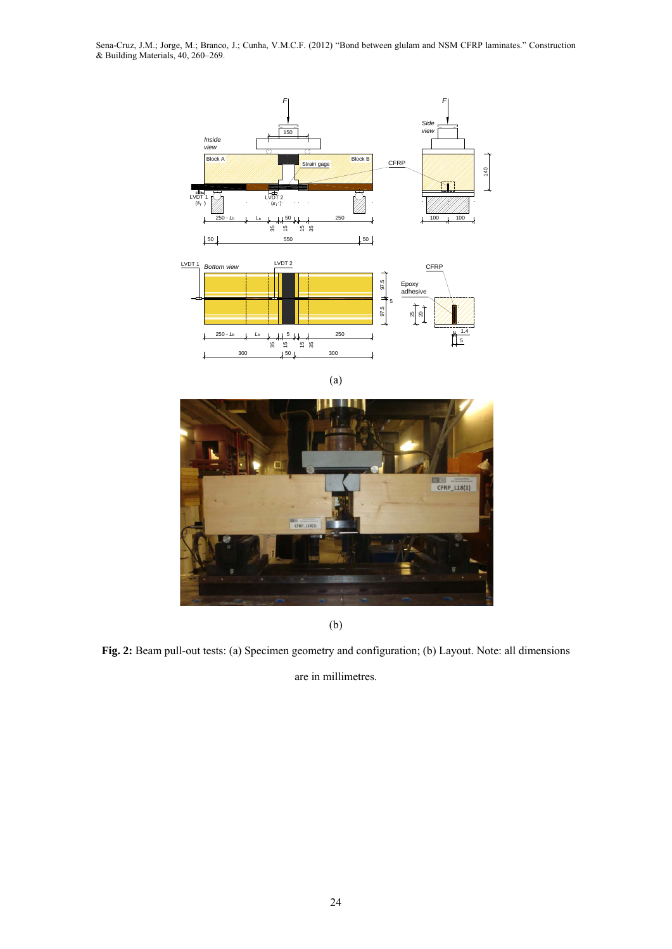

(a)



(b)

**Fig. 2:** Beam pull-out tests: (a) Specimen geometry and configuration; (b) Layout. Note: all dimensions

are in millimetres.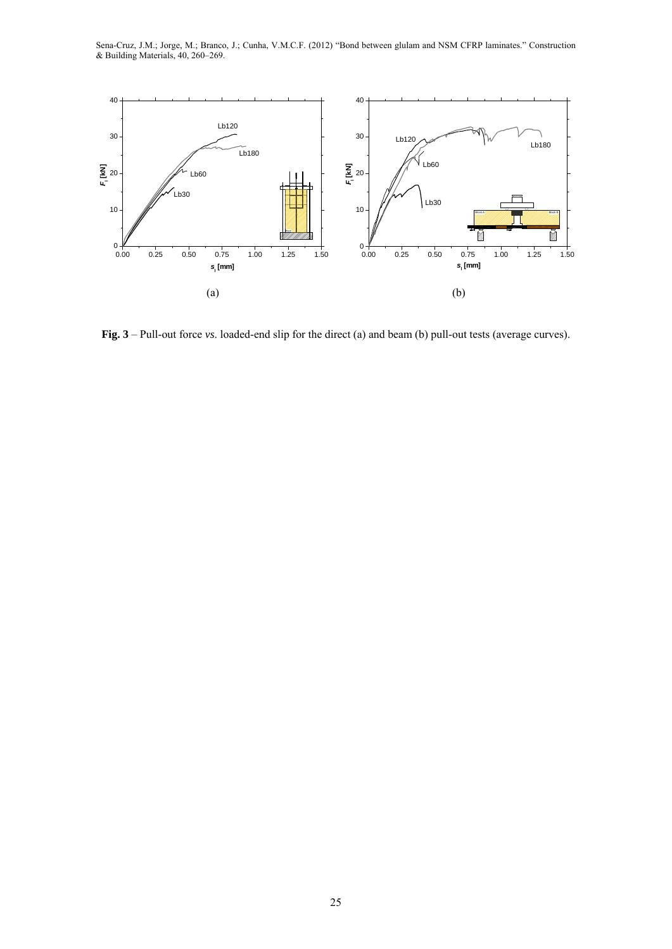

**Fig. 3** – Pull-out force *vs*. loaded-end slip for the direct (a) and beam (b) pull-out tests (average curves).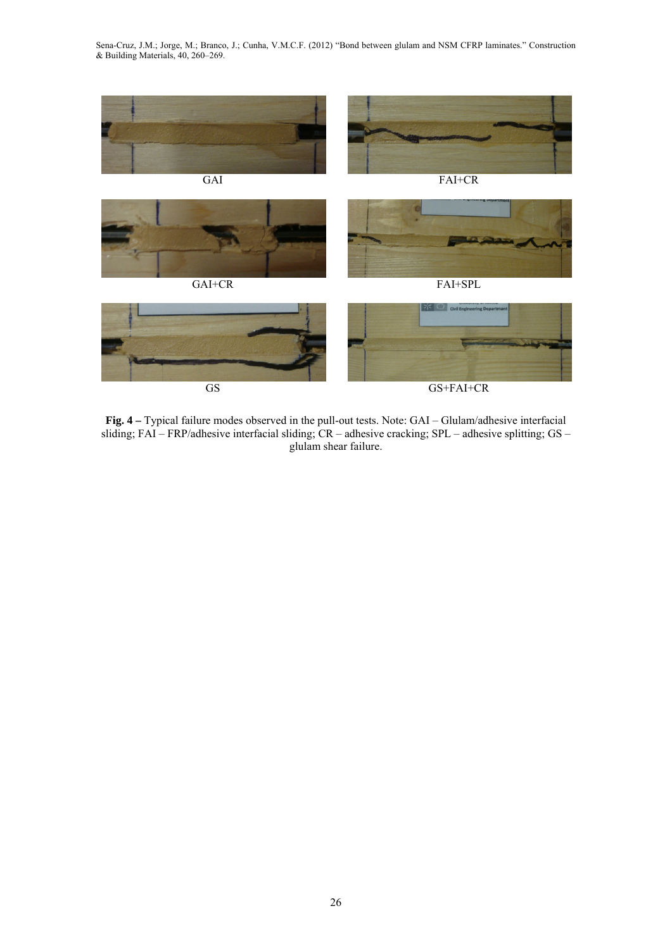

**Fig. 4 –** Typical failure modes observed in the pull-out tests. Note: GAI – Glulam/adhesive interfacial sliding; FAI – FRP/adhesive interfacial sliding; CR – adhesive cracking; SPL – adhesive splitting; GS – glulam shear failure.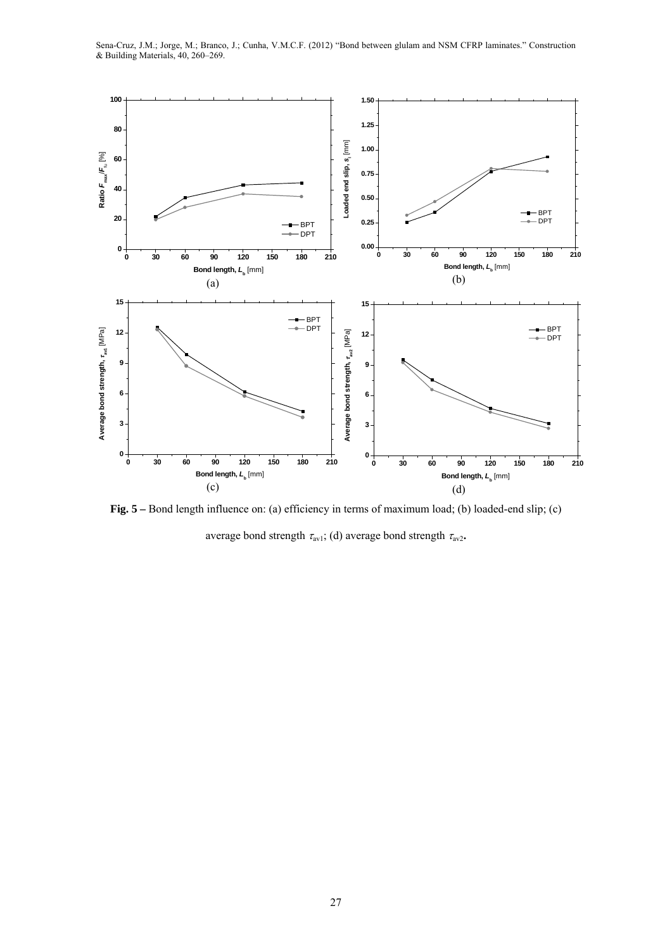

**Fig. 5 –** Bond length influence on: (a) efficiency in terms of maximum load; (b) loaded-end slip; (c) average bond strength  $\tau_{\text{av1}}$ ; (d) average bond strength  $\tau_{\text{av2}}$ .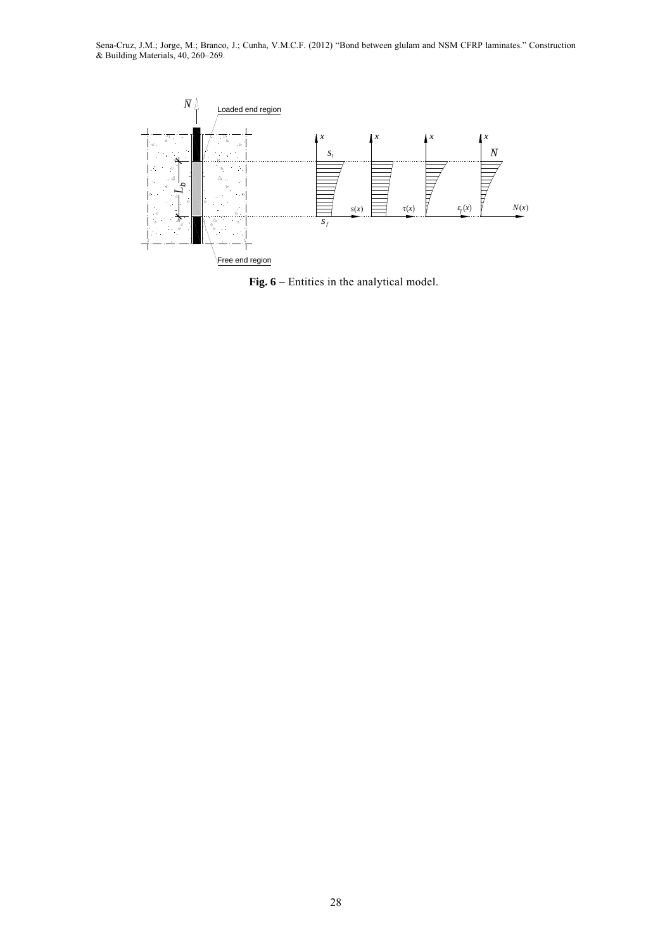

**Fig. 6** – Entities in the analytical model.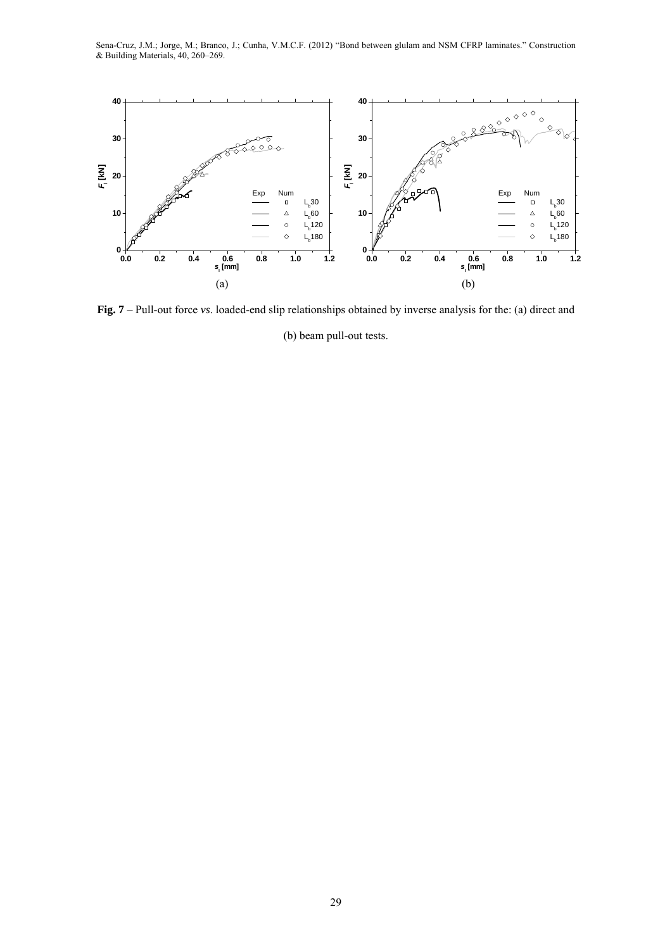

**Fig. 7** – Pull-out force *vs*. loaded-end slip relationships obtained by inverse analysis for the: (a) direct and (b) beam pull-out tests.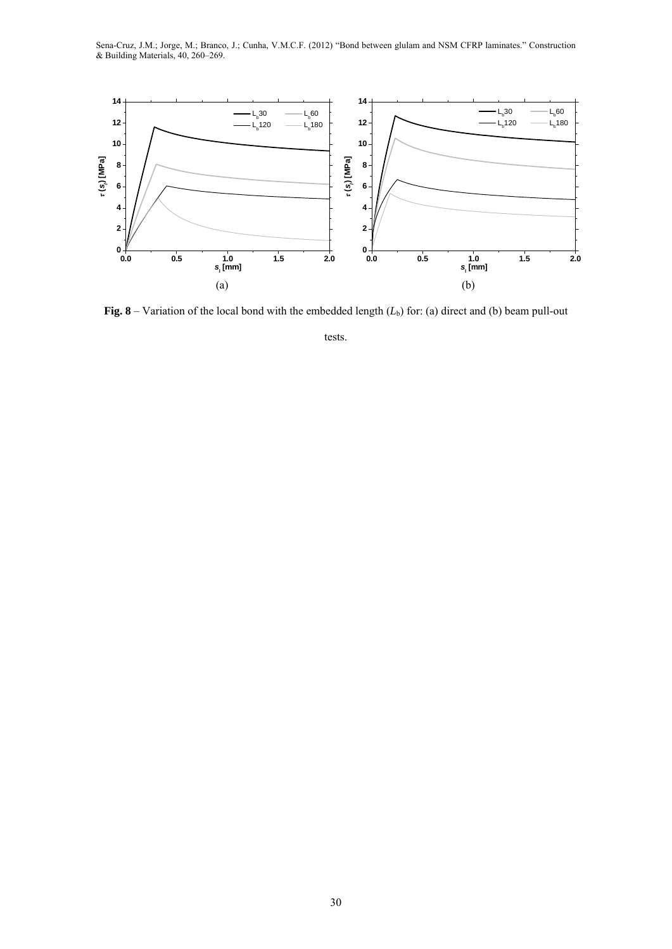

**Fig. 8** – Variation of the local bond with the embedded length  $(L_b)$  for: (a) direct and (b) beam pull-out

tests.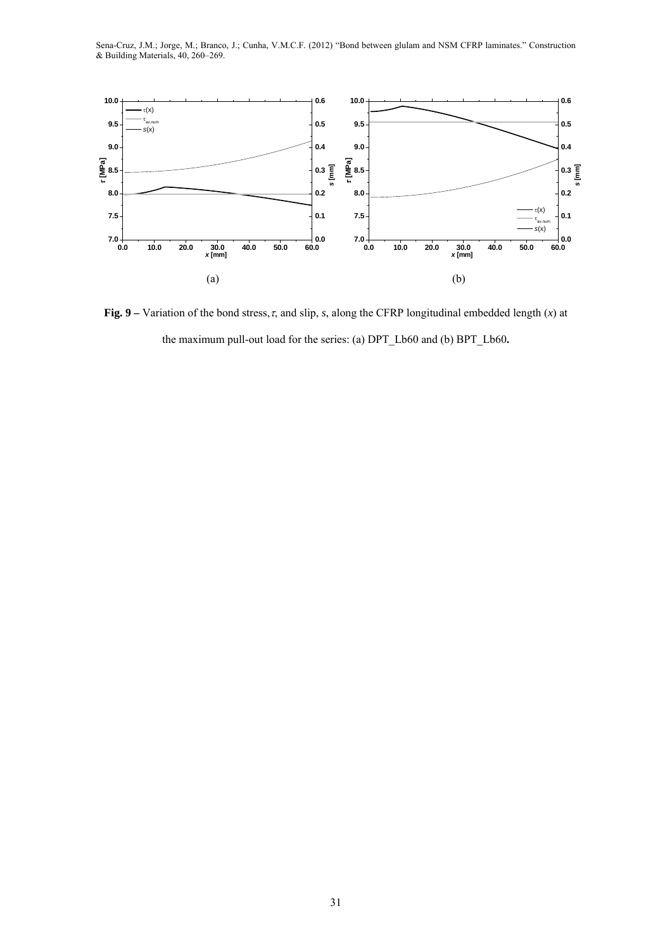

**Fig. 9** – Variation of the bond stress,  $\tau$ , and slip,  $s$ , along the CFRP longitudinal embedded length  $(x)$  at the maximum pull-out load for the series: (a) DPT\_Lb60 and (b) BPT\_Lb60**.**